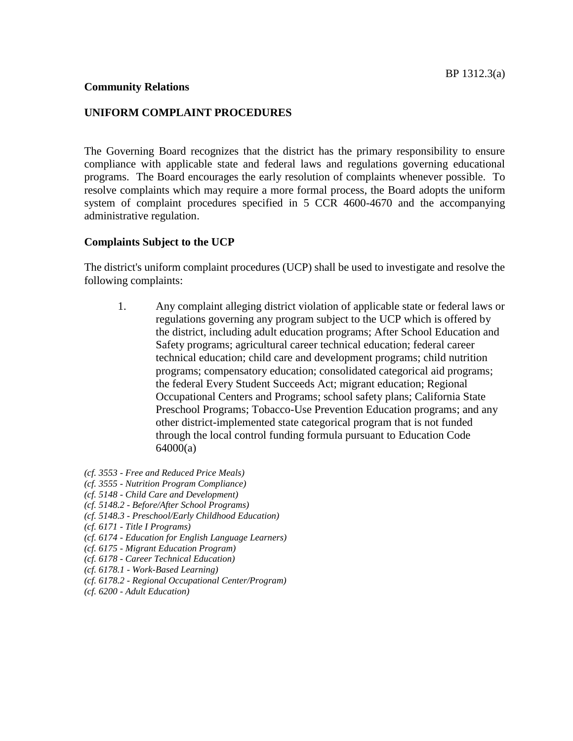#### **Community Relations**

### **UNIFORM COMPLAINT PROCEDURES**

The Governing Board recognizes that the district has the primary responsibility to ensure compliance with applicable state and federal laws and regulations governing educational programs. The Board encourages the early resolution of complaints whenever possible. To resolve complaints which may require a more formal process, the Board adopts the uniform system of complaint procedures specified in 5 CCR 4600-4670 and the accompanying administrative regulation.

### **Complaints Subject to the UCP**

The district's uniform complaint procedures (UCP) shall be used to investigate and resolve the following complaints:

- 1. Any complaint alleging district violation of applicable state or federal laws or regulations governing any program subject to the UCP which is offered by the district, including adult education programs; After School Education and Safety programs; agricultural career technical education; federal career technical education; child care and development programs; child nutrition programs; compensatory education; consolidated categorical aid programs; the federal Every Student Succeeds Act; migrant education; Regional Occupational Centers and Programs; school safety plans; California State Preschool Programs; Tobacco-Use Prevention Education programs; and any other district-implemented state categorical program that is not funded through the local control funding formula pursuant to Education Code 64000(a)
- *(cf. 3553 - Free and Reduced Price Meals)*
- *(cf. 3555 - Nutrition Program Compliance)*
- *(cf. 5148 - Child Care and Development)*
- *(cf. 5148.2 - Before/After School Programs)*
- *(cf. 5148.3 - Preschool/Early Childhood Education)*
- *(cf. 6171 - Title I Programs)*
- *(cf. 6174 - Education for English Language Learners)*
- *(cf. 6175 - Migrant Education Program)*
- *(cf. 6178 - Career Technical Education)*
- *(cf. 6178.1 - Work-Based Learning)*
- *(cf. 6178.2 - Regional Occupational Center/Program)*
- *(cf. 6200 - Adult Education)*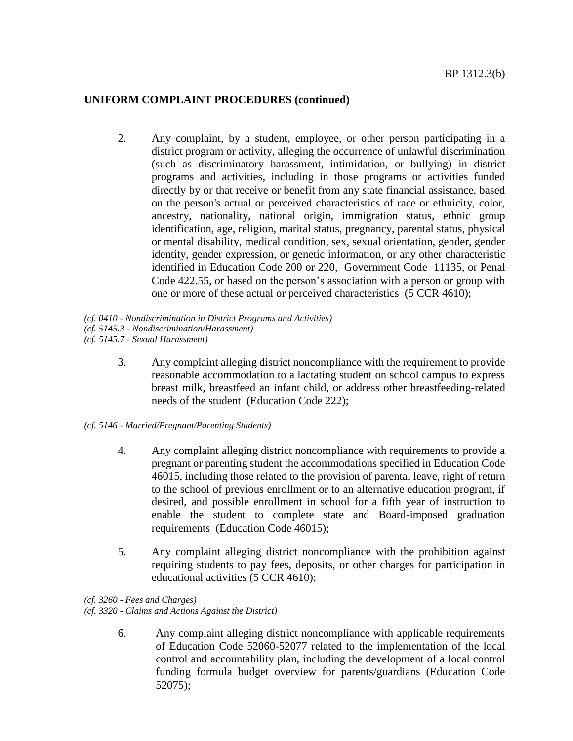2. Any complaint, by a student, employee, or other person participating in a district program or activity, alleging the occurrence of unlawful discrimination (such as discriminatory harassment, intimidation, or bullying) in district programs and activities, including in those programs or activities funded directly by or that receive or benefit from any state financial assistance, based on the person's actual or perceived characteristics of race or ethnicity, color, ancestry, nationality, national origin, immigration status, ethnic group identification, age, religion, marital status, pregnancy, parental status, physical or mental disability, medical condition, sex, sexual orientation, gender, gender identity, gender expression, or genetic information, or any other characteristic identified in Education Code 200 or 220, Government Code 11135, or Penal Code 422.55, or based on the person's association with a person or group with one or more of these actual or perceived characteristics (5 CCR 4610);

*(cf. 0410 - Nondiscrimination in District Programs and Activities)*

*(cf. 5145.3 - Nondiscrimination/Harassment)*

*(cf. 5145.7 - Sexual Harassment)*

- 3. Any complaint alleging district noncompliance with the requirement to provide reasonable accommodation to a lactating student on school campus to express breast milk, breastfeed an infant child, or address other breastfeeding-related needs of the student (Education Code 222);
- *(cf. 5146 - Married/Pregnant/Parenting Students)*
	- 4. Any complaint alleging district noncompliance with requirements to provide a pregnant or parenting student the accommodations specified in Education Code 46015, including those related to the provision of parental leave, right of return to the school of previous enrollment or to an alternative education program, if desired, and possible enrollment in school for a fifth year of instruction to enable the student to complete state and Board-imposed graduation requirements (Education Code 46015);
	- 5. Any complaint alleging district noncompliance with the prohibition against requiring students to pay fees, deposits, or other charges for participation in educational activities (5 CCR 4610);
- *(cf. 3260 - Fees and Charges)*

*(cf. 3320 - Claims and Actions Against the District)*

6. Any complaint alleging district noncompliance with applicable requirements of Education Code 52060-52077 related to the implementation of the local control and accountability plan, including the development of a local control funding formula budget overview for parents/guardians (Education Code 52075);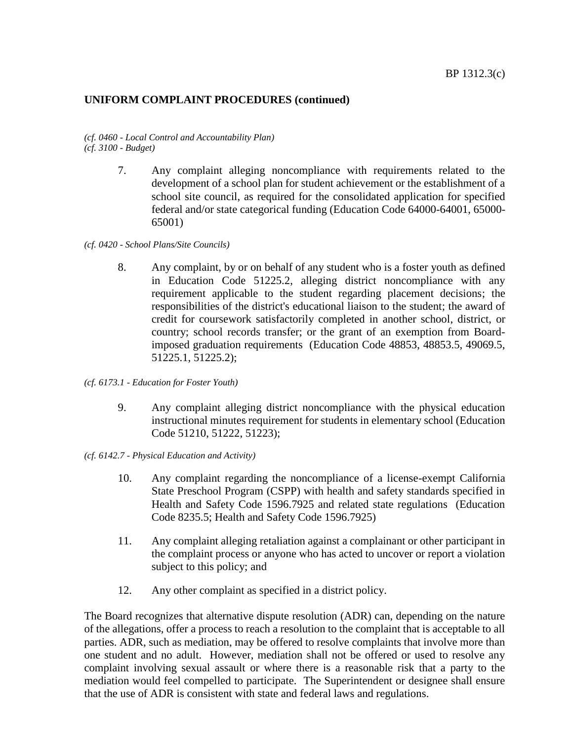#### *(cf. 0460 - Local Control and Accountability Plan) (cf. 3100 - Budget)*

- 7. Any complaint alleging noncompliance with requirements related to the development of a school plan for student achievement or the establishment of a school site council, as required for the consolidated application for specified federal and/or state categorical funding (Education Code 64000-64001, 65000- 65001)
- *(cf. 0420 - School Plans/Site Councils)*
	- 8. Any complaint, by or on behalf of any student who is a foster youth as defined in Education Code 51225.2, alleging district noncompliance with any requirement applicable to the student regarding placement decisions; the responsibilities of the district's educational liaison to the student; the award of credit for coursework satisfactorily completed in another school, district, or country; school records transfer; or the grant of an exemption from Boardimposed graduation requirements (Education Code 48853, 48853.5, 49069.5, 51225.1, 51225.2);
- *(cf. 6173.1 - Education for Foster Youth)*
	- 9. Any complaint alleging district noncompliance with the physical education instructional minutes requirement for students in elementary school (Education Code 51210, 51222, 51223);
- *(cf. 6142.7 - Physical Education and Activity)*
	- 10. Any complaint regarding the noncompliance of a license-exempt California State Preschool Program (CSPP) with health and safety standards specified in Health and Safety Code 1596.7925 and related state regulations (Education Code 8235.5; Health and Safety Code 1596.7925)
	- 11. Any complaint alleging retaliation against a complainant or other participant in the complaint process or anyone who has acted to uncover or report a violation subject to this policy; and
	- 12. Any other complaint as specified in a district policy.

The Board recognizes that alternative dispute resolution (ADR) can, depending on the nature of the allegations, offer a process to reach a resolution to the complaint that is acceptable to all parties. ADR, such as mediation, may be offered to resolve complaints that involve more than one student and no adult. However, mediation shall not be offered or used to resolve any complaint involving sexual assault or where there is a reasonable risk that a party to the mediation would feel compelled to participate. The Superintendent or designee shall ensure that the use of ADR is consistent with state and federal laws and regulations.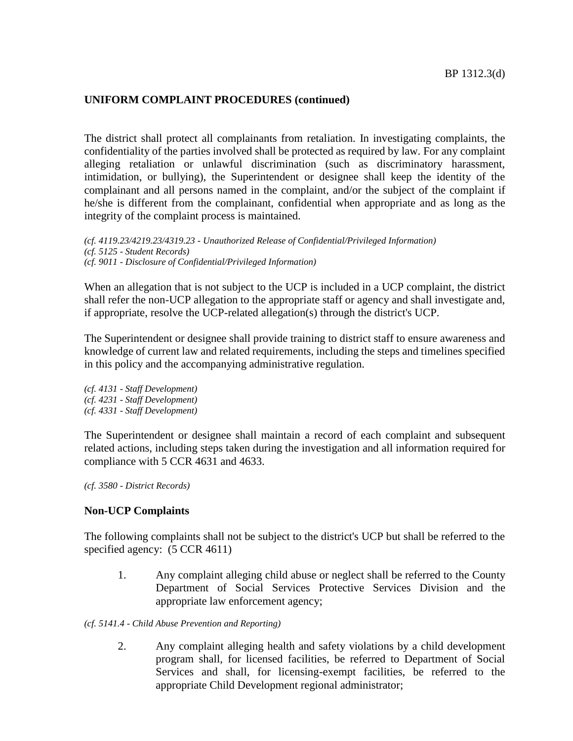The district shall protect all complainants from retaliation. In investigating complaints, the confidentiality of the parties involved shall be protected as required by law. For any complaint alleging retaliation or unlawful discrimination (such as discriminatory harassment, intimidation, or bullying), the Superintendent or designee shall keep the identity of the complainant and all persons named in the complaint, and/or the subject of the complaint if he/she is different from the complainant, confidential when appropriate and as long as the integrity of the complaint process is maintained.

*(cf. 4119.23/4219.23/4319.23 - Unauthorized Release of Confidential/Privileged Information) (cf. 5125 - Student Records) (cf. 9011 - Disclosure of Confidential/Privileged Information)*

When an allegation that is not subject to the UCP is included in a UCP complaint, the district shall refer the non-UCP allegation to the appropriate staff or agency and shall investigate and, if appropriate, resolve the UCP-related allegation(s) through the district's UCP.

The Superintendent or designee shall provide training to district staff to ensure awareness and knowledge of current law and related requirements, including the steps and timelines specified in this policy and the accompanying administrative regulation.

*(cf. 4131 - Staff Development) (cf. 4231 - Staff Development) (cf. 4331 - Staff Development)*

The Superintendent or designee shall maintain a record of each complaint and subsequent related actions, including steps taken during the investigation and all information required for compliance with 5 CCR 4631 and 4633.

*(cf. 3580 - District Records)*

#### **Non-UCP Complaints**

The following complaints shall not be subject to the district's UCP but shall be referred to the specified agency:  $(5$  CCR 4611)

- 1. Any complaint alleging child abuse or neglect shall be referred to the County Department of Social Services Protective Services Division and the appropriate law enforcement agency;
- *(cf. 5141.4 - Child Abuse Prevention and Reporting)*
	- 2. Any complaint alleging health and safety violations by a child development program shall, for licensed facilities, be referred to Department of Social Services and shall, for licensing-exempt facilities, be referred to the appropriate Child Development regional administrator;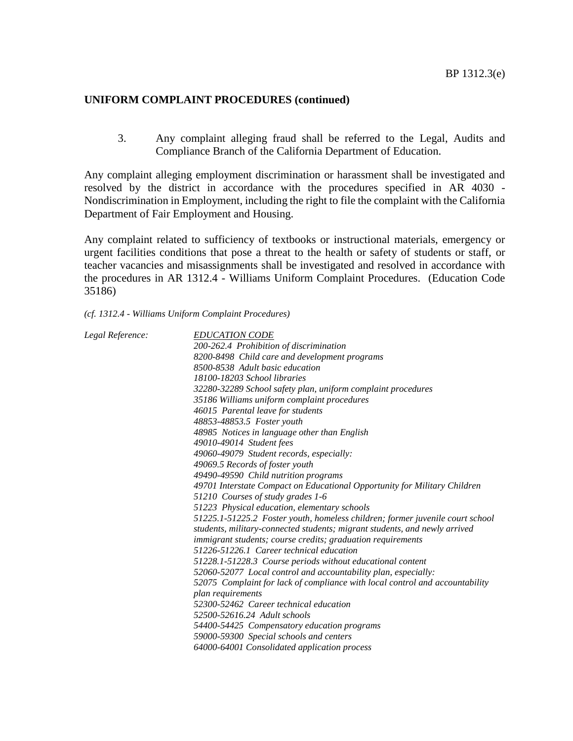3. Any complaint alleging fraud shall be referred to the Legal, Audits and Compliance Branch of the California Department of Education.

Any complaint alleging employment discrimination or harassment shall be investigated and resolved by the district in accordance with the procedures specified in AR 4030 - Nondiscrimination in Employment, including the right to file the complaint with the California Department of Fair Employment and Housing.

Any complaint related to sufficiency of textbooks or instructional materials, emergency or urgent facilities conditions that pose a threat to the health or safety of students or staff, or teacher vacancies and misassignments shall be investigated and resolved in accordance with the procedures in AR 1312.4 - Williams Uniform Complaint Procedures. (Education Code 35186)

#### *(cf. 1312.4 - Williams Uniform Complaint Procedures)*

| Legal Reference: | <b>EDUCATION CODE</b>                                                                                                                                       |
|------------------|-------------------------------------------------------------------------------------------------------------------------------------------------------------|
|                  | 200-262.4 Prohibition of discrimination                                                                                                                     |
|                  | 8200-8498 Child care and development programs                                                                                                               |
|                  | 8500-8538 Adult basic education                                                                                                                             |
|                  | 18100-18203 School libraries                                                                                                                                |
|                  | 32280-32289 School safety plan, uniform complaint procedures                                                                                                |
|                  | 35186 Williams uniform complaint procedures                                                                                                                 |
|                  | 46015 Parental leave for students                                                                                                                           |
|                  | 48853-48853.5 Foster youth                                                                                                                                  |
|                  | 48985 Notices in language other than English                                                                                                                |
|                  | 49010-49014 Student fees                                                                                                                                    |
|                  | 49060-49079 Student records, especially:                                                                                                                    |
|                  | 49069.5 Records of foster youth                                                                                                                             |
|                  | 49490-49590 Child nutrition programs                                                                                                                        |
|                  | 49701 Interstate Compact on Educational Opportunity for Military Children                                                                                   |
|                  | 51210 Courses of study grades 1-6                                                                                                                           |
|                  | 51223 Physical education, elementary schools                                                                                                                |
|                  | 51225.1-51225.2 Foster youth, homeless children; former juvenile court school<br>students, military-connected students; migrant students, and newly arrived |
|                  | <i>immigrant students; course credits; graduation requirements</i>                                                                                          |
|                  | 51226-51226.1 Career technical education                                                                                                                    |
|                  | 51228.1-51228.3 Course periods without educational content                                                                                                  |
|                  | 52060-52077 Local control and accountability plan, especially:                                                                                              |
|                  | 52075 Complaint for lack of compliance with local control and accountability<br>plan requirements                                                           |
|                  | 52300-52462 Career technical education                                                                                                                      |
|                  | 52500-52616.24 Adult schools                                                                                                                                |
|                  | 54400-54425 Compensatory education programs                                                                                                                 |
|                  | 59000-59300 Special schools and centers                                                                                                                     |
|                  | 64000-64001 Consolidated application process                                                                                                                |
|                  |                                                                                                                                                             |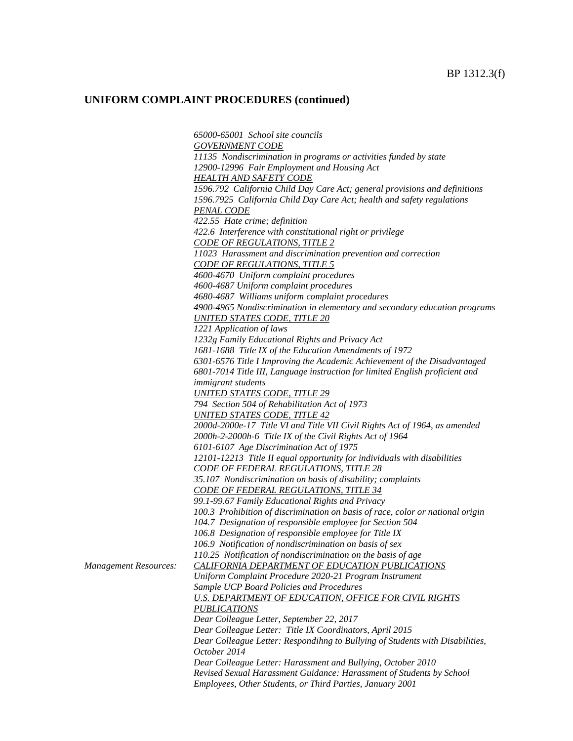*65000-65001 School site councils GOVERNMENT CODE 11135 Nondiscrimination in programs or activities funded by state 12900-12996 Fair Employment and Housing Act HEALTH AND SAFETY CODE 1596.792 California Child Day Care Act; general provisions and definitions 1596.7925 California Child Day Care Act; health and safety regulations PENAL CODE 422.55 Hate crime; definition 422.6 Interference with constitutional right or privilege CODE OF REGULATIONS, TITLE 2 11023 Harassment and discrimination prevention and correction CODE OF REGULATIONS, TITLE 5 4600-4670 Uniform complaint procedures 4600-4687 Uniform complaint procedures 4680-4687 Williams uniform complaint procedures 4900-4965 Nondiscrimination in elementary and secondary education programs UNITED STATES CODE, TITLE 20 1221 Application of laws 1232g Family Educational Rights and Privacy Act 1681-1688 Title IX of the Education Amendments of 1972 6301-6576 Title I Improving the Academic Achievement of the Disadvantaged 6801-7014 Title III, Language instruction for limited English proficient and immigrant students UNITED STATES CODE, TITLE 29 794 Section 504 of Rehabilitation Act of 1973 UNITED STATES CODE, TITLE 42 2000d-2000e-17 Title VI and Title VII Civil Rights Act of 1964, as amended 2000h-2-2000h-6 Title IX of the Civil Rights Act of 1964 6101-6107 Age Discrimination Act of 1975 12101-12213 Title II equal opportunity for individuals with disabilities CODE OF FEDERAL REGULATIONS, TITLE 28 35.107 Nondiscrimination on basis of disability; complaints CODE OF FEDERAL REGULATIONS, TITLE 34 99.1-99.67 Family Educational Rights and Privacy 100.3 Prohibition of discrimination on basis of race, color or national origin 104.7 Designation of responsible employee for Section 504 106.8 Designation of responsible employee for Title IX 106.9 Notification of nondiscrimination on basis of sex 110.25 Notification of nondiscrimination on the basis of age Management Resources: CALIFORNIA DEPARTMENT OF EDUCATION PUBLICATIONS Uniform Complaint Procedure 2020-21 Program Instrument Sample UCP Board Policies and Procedures U.S. DEPARTMENT OF EDUCATION, OFFICE FOR CIVIL RIGHTS PUBLICATIONS Dear Colleague Letter, September 22, 2017 Dear Colleague Letter: Title IX Coordinators, April 2015 Dear Colleague Letter: Respondihng to Bullying of Students with Disabilities, October 2014 Dear Colleague Letter: Harassment and Bullying, October 2010 Revised Sexual Harassment Guidance: Harassment of Students by School Employees, Other Students, or Third Parties, January 2001*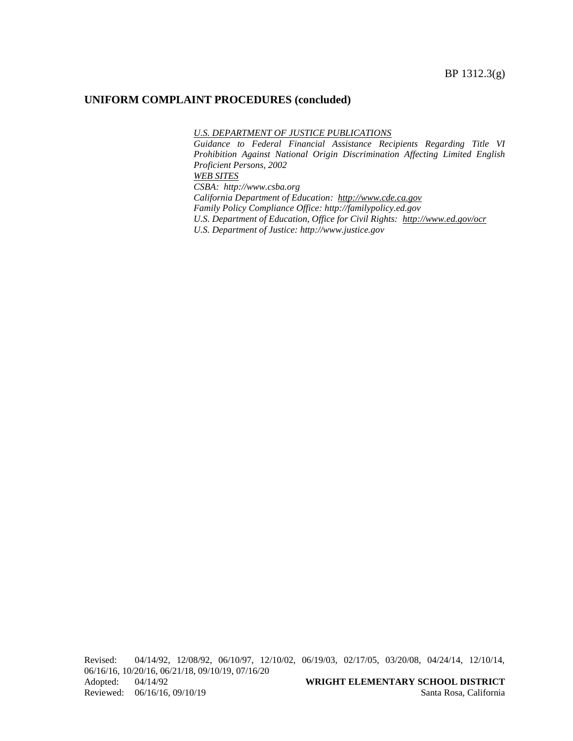#### *U.S. DEPARTMENT OF JUSTICE PUBLICATIONS*

*Guidance to Federal Financial Assistance Recipients Regarding Title VI Prohibition Against National Origin Discrimination Affecting Limited English Proficient Persons, 2002 WEB SITES CSBA: http://www.csba.org California Department of Education: [http://www.cde.ca.gov](http://www.cde.ca.gov/) Family Policy Compliance Office: http://familypolicy.ed.gov*

*U.S. Department of Education, Office for Civil Rights: <http://www.ed.gov/ocr>*

*U.S. Department of Justice: http://www.justice.gov*

Revised: 04/14/92, 12/08/92, 06/10/97, 12/10/02, 06/19/03, 02/17/05, 03/20/08, 04/24/14, 12/10/14, 06/16/16, 10/20/16, 06/21/18, 09/10/19, 07/16/20 Adopted: 04/14/92 **WRIGHT ELEMENTARY SCHOOL DISTRICT** Reviewed: 06/16/16, 09/10/19 Santa Rosa, California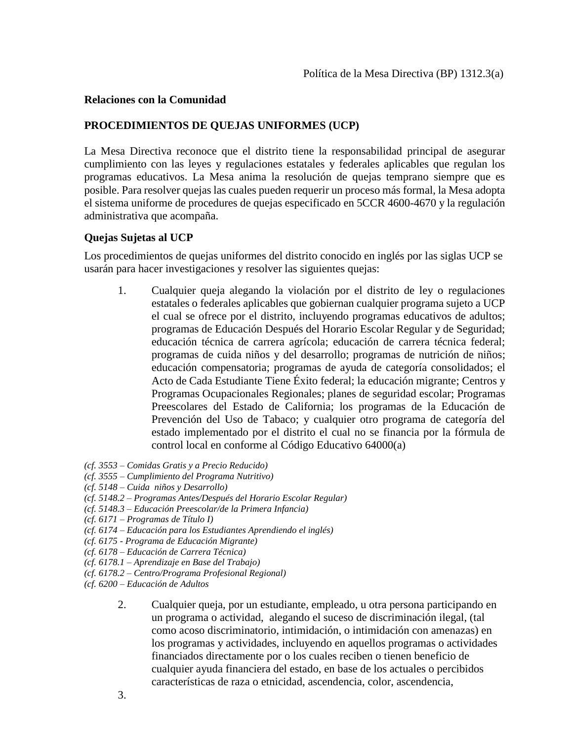### **Relaciones con la Comunidad**

## **PROCEDIMIENTOS DE QUEJAS UNIFORMES (UCP)**

La Mesa Directiva reconoce que el distrito tiene la responsabilidad principal de asegurar cumplimiento con las leyes y regulaciones estatales y federales aplicables que regulan los programas educativos. La Mesa anima la resolución de quejas temprano siempre que es posible. Para resolver quejas las cuales pueden requerir un proceso más formal, la Mesa adopta el sistema uniforme de procedures de quejas especificado en 5CCR 4600-4670 y la regulación administrativa que acompaña.

#### **Quejas Sujetas al UCP**

Los procedimientos de quejas uniformes del distrito conocido en inglés por las siglas UCP se usarán para hacer investigaciones y resolver las siguientes quejas:

- 1. Cualquier queja alegando la violación por el distrito de ley o regulaciones estatales o federales aplicables que gobiernan cualquier programa sujeto a UCP el cual se ofrece por el distrito, incluyendo programas educativos de adultos; programas de Educación Después del Horario Escolar Regular y de Seguridad; educación técnica de carrera agrícola; educación de carrera técnica federal; programas de cuida niños y del desarrollo; programas de nutrición de niños; educación compensatoria; programas de ayuda de categoría consolidados; el Acto de Cada Estudiante Tiene Éxito federal; la educación migrante; Centros y Programas Ocupacionales Regionales; planes de seguridad escolar; Programas Preescolares del Estado de California; los programas de la Educación de Prevención del Uso de Tabaco; y cualquier otro programa de categoría del estado implementado por el distrito el cual no se financia por la fórmula de control local en conforme al Código Educativo 64000(a)
- *(cf. 3553 – Comidas Gratis y a Precio Reducido)*
- *(cf. 3555 – Cumplimiento del Programa Nutritivo)*
- *(cf. 5148 – Cuida niños y Desarrollo)*
- *(cf. 5148.2 – Programas Antes/Después del Horario Escolar Regular)*
- *(cf. 5148.3 – Educación Preescolar/de la Primera Infancia)*
- *(cf. 6171 – Programas de Título I)*
- *(cf. 6174 – Educación para los Estudiantes Aprendiendo el inglés)*
- *(cf. 6175 - Programa de Educación Migrante)*
- *(cf. 6178 – Educación de Carrera Técnica)*
- *(cf. 6178.1 – Aprendizaje en Base del Trabajo)*
- *(cf. 6178.2 – Centro/Programa Profesional Regional)*
- *(cf. 6200 – Educación de Adultos*
	- 2. Cualquier queja, por un estudiante, empleado, u otra persona participando en un programa o actividad, alegando el suceso de discriminación ilegal, (tal como acoso discriminatorio, intimidación, o intimidación con amenazas) en los programas y actividades, incluyendo en aquellos programas o actividades financiados directamente por o los cuales reciben o tienen beneficio de cualquier ayuda financiera del estado, en base de los actuales o percibidos características de raza o etnicidad, ascendencia, color, ascendencia,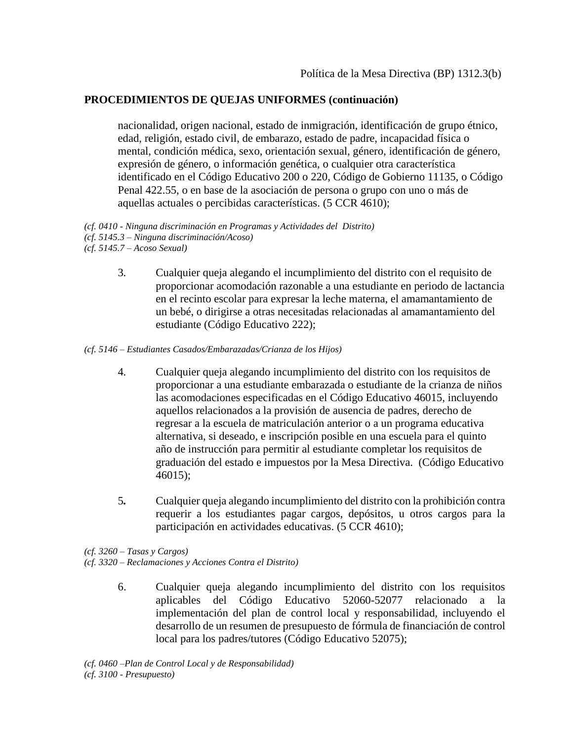nacionalidad, origen nacional, estado de inmigración, identificación de grupo étnico, edad, religión, estado civil, de embarazo, estado de padre, incapacidad física o mental, condición médica, sexo, orientación sexual, género, identificación de género, expresión de género, o información genética, o cualquier otra característica identificado en el Código Educativo 200 o 220, Código de Gobierno 11135, o Código Penal 422.55, o en base de la asociación de persona o grupo con uno o más de aquellas actuales o percibidas características. (5 CCR 4610);

*(cf. 0410 - Ninguna discriminación en Programas y Actividades del Distrito) (cf. 5145.3 – Ninguna discriminación/Acoso)*

- *(cf. 5145.7 – Acoso Sexual)*
	- 3*.* Cualquier queja alegando el incumplimiento del distrito con el requisito de proporcionar acomodación razonable a una estudiante en periodo de lactancia en el recinto escolar para expresar la leche materna, el amamantamiento de un bebé, o dirigirse a otras necesitadas relacionadas al amamantamiento del estudiante (Código Educativo 222);

*(cf. 5146 – Estudiantes Casados/Embarazadas/Crianza de los Hijos)*

- 4*.* Cualquier queja alegando incumplimiento del distrito con los requisitos de proporcionar a una estudiante embarazada o estudiante de la crianza de niños las acomodaciones especificadas en el Código Educativo 46015, incluyendo aquellos relacionados a la provisión de ausencia de padres, derecho de regresar a la escuela de matriculación anterior o a un programa educativa alternativa, si deseado, e inscripción posible en una escuela para el quinto año de instrucción para permitir al estudiante completar los requisitos de graduación del estado e impuestos por la Mesa Directiva. (Código Educativo 46015);
- 5*.* Cualquier queja alegando incumplimiento del distrito con la prohibición contra requerir a los estudiantes pagar cargos, depósitos, u otros cargos para la participación en actividades educativas. (5 CCR 4610);

*(cf. 3260 – Tasas y Cargos) (cf. 3320 – Reclamaciones y Acciones Contra el Distrito)*

> 6. Cualquier queja alegando incumplimiento del distrito con los requisitos aplicables del Código Educativo 52060-52077 relacionado a la implementación del plan de control local y responsabilidad, incluyendo el desarrollo de un resumen de presupuesto de fórmula de financiación de control local para los padres/tutores (Código Educativo 52075);

*(cf. 0460 –Plan de Control Local y de Responsabilidad) (cf. 3100 - Presupuesto)*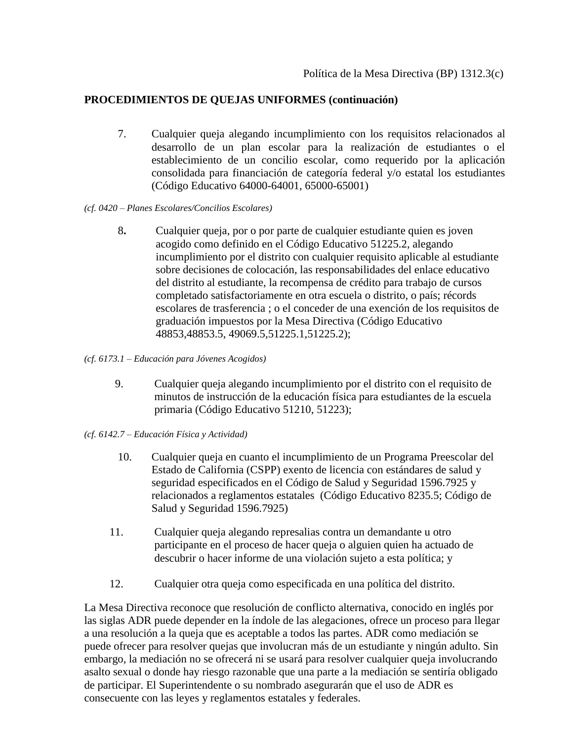- 7. Cualquier queja alegando incumplimiento con los requisitos relacionados al desarrollo de un plan escolar para la realización de estudiantes o el establecimiento de un concilio escolar, como requerido por la aplicación consolidada para financiación de categoría federal y/o estatal los estudiantes (Código Educativo 64000-64001, 65000-65001)
- *(cf. 0420 – Planes Escolares/Concilios Escolares)*
	- 8**.** Cualquier queja, por o por parte de cualquier estudiante quien es joven acogido como definido en el Código Educativo 51225.2, alegando incumplimiento por el distrito con cualquier requisito aplicable al estudiante sobre decisiones de colocación, las responsabilidades del enlace educativo del distrito al estudiante, la recompensa de crédito para trabajo de cursos completado satisfactoriamente en otra escuela o distrito, o país; récords escolares de trasferencia ; o el conceder de una exención de los requisitos de graduación impuestos por la Mesa Directiva (Código Educativo 48853,48853.5, 49069.5,51225.1,51225.2);
- *(cf. 6173.1 – Educación para Jóvenes Acogidos)* 
	- 9. Cualquier queja alegando incumplimiento por el distrito con el requisito de minutos de instrucción de la educación física para estudiantes de la escuela primaria (Código Educativo 51210, 51223);
- *(cf. 6142.7 – Educación Física y Actividad)* 
	- 10.Cualquier queja en cuanto el incumplimiento de un Programa Preescolar del Estado de California (CSPP) exento de licencia con estándares de salud y seguridad especificados en el Código de Salud y Seguridad 1596.7925 y relacionados a reglamentos estatales (Código Educativo 8235.5; Código de Salud y Seguridad 1596.7925)
	- 11. Cualquier queja alegando represalias contra un demandante u otro participante en el proceso de hacer queja o alguien quien ha actuado de descubrir o hacer informe de una violación sujeto a esta política; y
	- 12. Cualquier otra queja como especificada en una política del distrito.

La Mesa Directiva reconoce que resolución de conflicto alternativa, conocido en inglés por las siglas ADR puede depender en la índole de las alegaciones, ofrece un proceso para llegar a una resolución a la queja que es aceptable a todos las partes. ADR como mediación se puede ofrecer para resolver quejas que involucran más de un estudiante y ningún adulto. Sin embargo, la mediación no se ofrecerá ni se usará para resolver cualquier queja involucrando asalto sexual o donde hay riesgo razonable que una parte a la mediación se sentiría obligado de participar. El Superintendente o su nombrado asegurarán que el uso de ADR es consecuente con las leyes y reglamentos estatales y federales.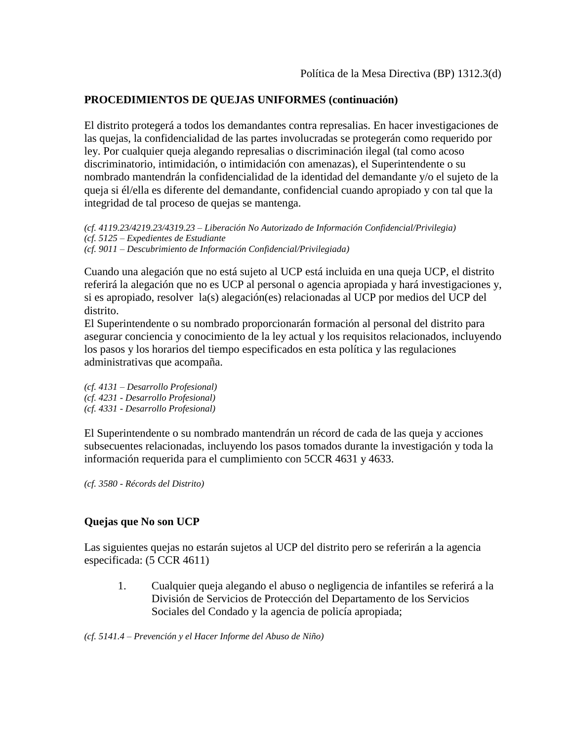El distrito protegerá a todos los demandantes contra represalias. En hacer investigaciones de las quejas, la confidencialidad de las partes involucradas se protegerán como requerido por ley. Por cualquier queja alegando represalias o discriminación ilegal (tal como acoso discriminatorio, intimidación, o intimidación con amenazas), el Superintendente o su nombrado mantendrán la confidencialidad de la identidad del demandante y/o el sujeto de la queja si él/ella es diferente del demandante, confidencial cuando apropiado y con tal que la integridad de tal proceso de quejas se mantenga.

*(cf. 4119.23/4219.23/4319.23 – Liberación No Autorizado de Información Confidencial/Privilegia) (cf. 5125 – Expedientes de Estudiante (cf. 9011 – Descubrimiento de Información Confidencial/Privilegiada)*

Cuando una alegación que no está sujeto al UCP está incluida en una queja UCP, el distrito referirá la alegación que no es UCP al personal o agencia apropiada y hará investigaciones y, si es apropiado, resolver la(s) alegación(es) relacionadas al UCP por medios del UCP del distrito.

El Superintendente o su nombrado proporcionarán formación al personal del distrito para asegurar conciencia y conocimiento de la ley actual y los requisitos relacionados, incluyendo los pasos y los horarios del tiempo especificados en esta política y las regulaciones administrativas que acompaña.

*(cf. 4131 – Desarrollo Profesional) (cf. 4231 - Desarrollo Profesional) (cf. 4331 - Desarrollo Profesional)*

El Superintendente o su nombrado mantendrán un récord de cada de las queja y acciones subsecuentes relacionadas, incluyendo los pasos tomados durante la investigación y toda la información requerida para el cumplimiento con 5CCR 4631 y 4633.

*(cf. 3580 - Récords del Distrito)*

## **Quejas que No son UCP**

Las siguientes quejas no estarán sujetos al UCP del distrito pero se referirán a la agencia especificada: (5 CCR 4611)

1. Cualquier queja alegando el abuso o negligencia de infantiles se referirá a la División de Servicios de Protección del Departamento de los Servicios Sociales del Condado y la agencia de policía apropiada;

*(cf. 5141.4 – Prevención y el Hacer Informe del Abuso de Niño)*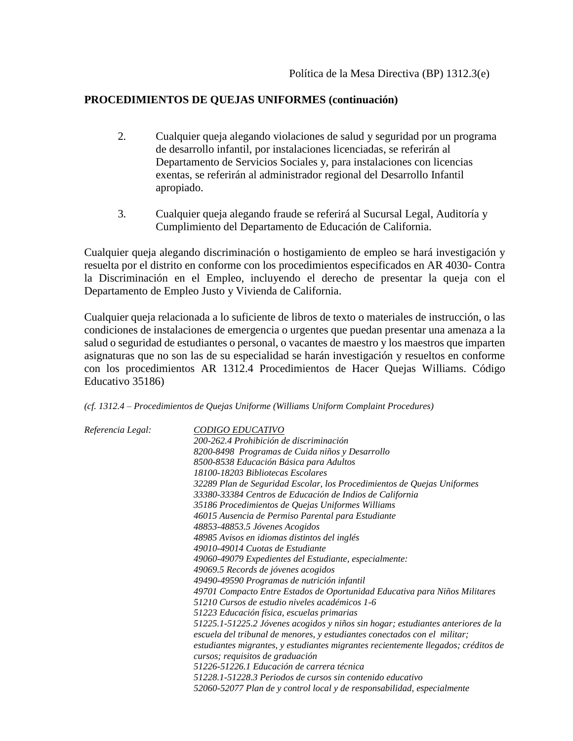- 2*.* Cualquier queja alegando violaciones de salud y seguridad por un programa de desarrollo infantil, por instalaciones licenciadas, se referirán al Departamento de Servicios Sociales y, para instalaciones con licencias exentas, se referirán al administrador regional del Desarrollo Infantil apropiado.
- 3*.* Cualquier queja alegando fraude se referirá al Sucursal Legal, Auditoría y Cumplimiento del Departamento de Educación de California.

Cualquier queja alegando discriminación o hostigamiento de empleo se hará investigación y resuelta por el distrito en conforme con los procedimientos especificados en AR 4030- Contra la Discriminación en el Empleo, incluyendo el derecho de presentar la queja con el Departamento de Empleo Justo y Vivienda de California.

Cualquier queja relacionada a lo suficiente de libros de texto o materiales de instrucción, o las condiciones de instalaciones de emergencia o urgentes que puedan presentar una amenaza a la salud o seguridad de estudiantes o personal, o vacantes de maestro y los maestros que imparten asignaturas que no son las de su especialidad se harán investigación y resueltos en conforme con los procedimientos AR 1312.4 Procedimientos de Hacer Quejas Williams. Código Educativo 35186)

*(cf. 1312.4 – Procedimientos de Quejas Uniforme (Williams Uniform Complaint Procedures)*

| Referencia Legal: | CODIGO EDUCATIVO<br>200-262.4 Prohibición de discriminación<br>8200-8498 Programas de Cuida niños y Desarrollo<br>8500-8538 Educación Básica para Adultos<br>18100-18203 Bibliotecas Escolares<br>32289 Plan de Seguridad Escolar, los Procedimientos de Quejas Uniformes<br>33380-33384 Centros de Educación de Indios de California<br>35186 Procedimientos de Quejas Uniformes Williams<br>46015 Ausencia de Permiso Parental para Estudiante<br>48853-48853.5 Jóvenes Acogidos<br>48985 Avisos en idiomas distintos del inglés<br>49010-49014 Cuotas de Estudiante<br>49060-49079 Expedientes del Estudiante, especialmente:<br>49069.5 Records de jóvenes acogidos<br>49490-49590 Programas de nutrición infantil<br>49701 Compacto Entre Estados de Oportunidad Educativa para Niños Militares<br>51210 Cursos de estudio niveles académicos 1-6<br>51223 Educación física, escuelas primarias<br>51225.1-51225.2 Jóvenes acogidos y niños sin hogar; estudiantes anteriores de la<br>escuela del tribunal de menores, y estudiantes conectados con el militar;<br>estudiantes migrantes, y estudiantes migrantes recientemente llegados; créditos de<br>cursos; requisitos de graduación |
|-------------------|-------------------------------------------------------------------------------------------------------------------------------------------------------------------------------------------------------------------------------------------------------------------------------------------------------------------------------------------------------------------------------------------------------------------------------------------------------------------------------------------------------------------------------------------------------------------------------------------------------------------------------------------------------------------------------------------------------------------------------------------------------------------------------------------------------------------------------------------------------------------------------------------------------------------------------------------------------------------------------------------------------------------------------------------------------------------------------------------------------------------------------------------------------------------------------------------------|
|                   | 51226-51226.1 Educación de carrera técnica<br>51228.1-51228.3 Periodos de cursos sin contenido educativo<br>52060-52077 Plan de y control local y de responsabilidad, especialmente                                                                                                                                                                                                                                                                                                                                                                                                                                                                                                                                                                                                                                                                                                                                                                                                                                                                                                                                                                                                             |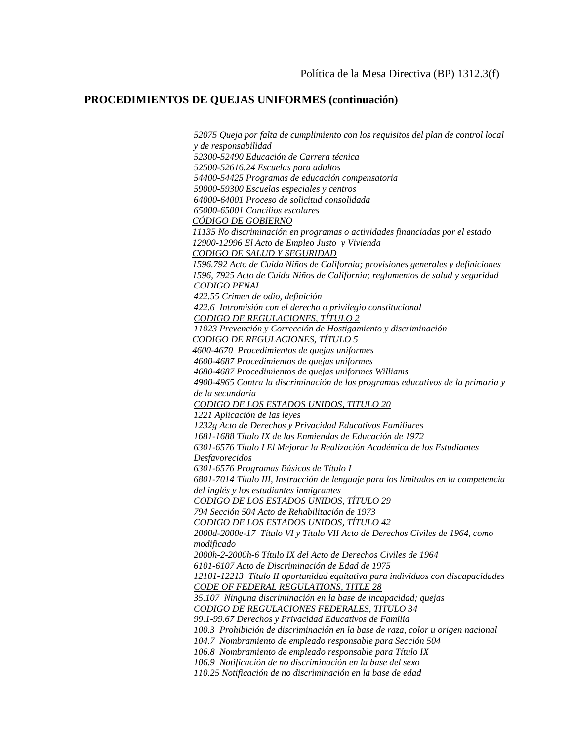*52075 Queja por falta de cumplimiento con los requisitos del plan de control local y de responsabilidad 52300-52490 Educación de Carrera técnica 52500-52616.24 Escuelas para adultos 54400-54425 Programas de educación compensatoria 59000-59300 Escuelas especiales y centros 64000-64001 Proceso de solicitud consolidada 65000-65001 Concilios escolares CÓDIGO DE GOBIERNO 11135 No discriminación en programas o actividades financiadas por el estado 12900-12996 El Acto de Empleo Justo y Vivienda CODIGO DE SALUD Y SEGURIDAD 1596.792 Acto de Cuida Niños de California; provisiones generales y definiciones 1596, 7925 Acto de Cuida Niños de California; reglamentos de salud y seguridad CODIGO PENAL 422.55 Crimen de odio, definición 422.6 Intromisión con el derecho o privilegio constitucional CODIGO DE REGULACIONES, TÍTULO 2 11023 Prevención y Corrección de Hostigamiento y discriminación CODIGO DE REGULACIONES, TÍTULO 5 4600-4670 Procedimientos de quejas uniformes 4600-4687 Procedimientos de quejas uniformes 4680-4687 Procedimientos de quejas uniformes Williams 4900-4965 Contra la discriminación de los programas educativos de la primaria y de la secundaria CODIGO DE LOS ESTADOS UNIDOS, TITULO 20 1221 Aplicación de las leyes 1232g Acto de Derechos y Privacidad Educativos Familiares 1681-1688 Título IX de las Enmiendas de Educación de 1972 6301-6576 Título I El Mejorar la Realización Académica de los Estudiantes Desfavorecidos 6301-6576 Programas Básicos de Título I 6801-7014 Título III, Instrucción de lenguaje para los limitados en la competencia del inglés y los estudiantes inmigrantes CODIGO DE LOS ESTADOS UNIDOS, TÍTULO 29 794 Sección 504 Acto de Rehabilitación de 1973 CODIGO DE LOS ESTADOS UNIDOS, TÍTULO 42 2000d-2000e-17 Título VI y Título VII Acto de Derechos Civiles de 1964, como modificado 2000h-2-2000h-6 Título IX del Acto de Derechos Civiles de 1964 6101-6107 Acto de Discriminación de Edad de 1975 12101-12213 Título II oportunidad equitativa para individuos con discapacidades CODE OF FEDERAL REGULATIONS, TITLE 28 35.107 Ninguna discriminación en la base de incapacidad; quejas CODIGO DE REGULACIONES FEDERALES, TITULO 34 99.1-99.67 Derechos y Privacidad Educativos de Familia 100.3 Prohibición de discriminación en la base de raza, color u origen nacional 104.7 Nombramiento de empleado responsable para Sección 504 106.8 Nombramiento de empleado responsable para Título IX 106.9 Notificación de no discriminación en la base del sexo 110.25 Notificación de no discriminación en la base de edad*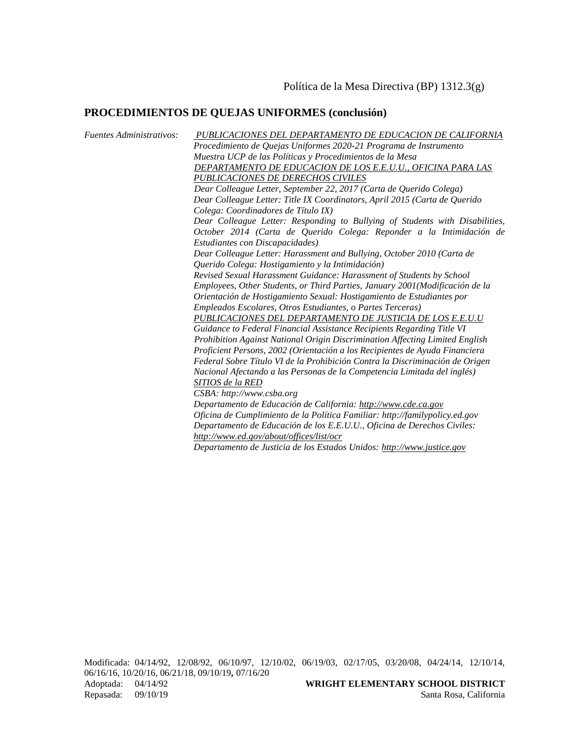*Fuentes Administrativos: PUBLICACIONES DEL DEPARTAMENTO DE EDUCACION DE CALIFORNIA Procedimiento de Quejas Uniformes 2020-21 Programa de Instrumento Muestra UCP de las Políticas y Procedimientos de la Mesa DEPARTAMENTO DE EDUCACION DE LOS E.E.U.U., OFICINA PARA LAS PUBLICACIONES DE DERECHOS CIVILES Dear Colleague Letter, September 22, 2017 (Carta de Querido Colega) Dear Colleague Letter: Title IX Coordinators, April 2015 (Carta de Querido Colega: Coordinadores de Título IX) Dear Colleague Letter: Responding to Bullying of Students with Disabilities, October 2014 (Carta de Querido Colega: Reponder a la Intimidación de Estudiantes con Discapacidades) Dear Colleague Letter: Harassment and Bullying, October 2010 (Carta de Querido Colega: Hostigamiento y la Intimidación) Revised Sexual Harassment Guidance: Harassment of Students by School Employees, Other Students, or Third Parties, January 2001(Modificación de la Orientación de Hostigamiento Sexual: Hostigamiento de Estudiantes por Empleados Escolares, Otros Estudiantes, o Partes Terceras) PUBLICACIONES DEL DEPARTAMENTO DE JUSTICIA DE LOS E.E.U.U Guidance to Federal Financial Assistance Recipients Regarding Title VI Prohibition Against National Origin Discrimination Affecting Limited English Proficient Persons, 2002 (Orientación a los Recipientes de Ayuda Financiera Federal Sobre Título VI de la Prohibición Contra la Discriminación de Origen Nacional Afectando a las Personas de la Competencia Limitada del inglés) SITIOS de la RED CSBA: http://www.csba.org Departamento de Educación de California: [http://www.cde.ca.gov](http://www.cde.ca.gov/) Oficina de Cumplimiento de la Política Familiar: http://familypolicy.ed.gov Departamento de Educación de los E.E.U.U., Oficina de Derechos Civiles: <http://www.ed.gov/about/offices/list/ocr> Departamento de Justicia de los Estados Unidos: [http://www.justice.gov](http://www.justice.gov/)*

Modificada: 04/14/92, 12/08/92, 06/10/97, 12/10/02, 06/19/03, 02/17/05, 03/20/08, 04/24/14, 12/10/14, 06/16/16, 10/20/16, 06/21/18, 09/10/19*,* 07/16/20 Adoptada: 04/14/92 **WRIGHT ELEMENTARY SCHOOL DISTRICT** Repasada: 09/10/19 Santa Rosa, California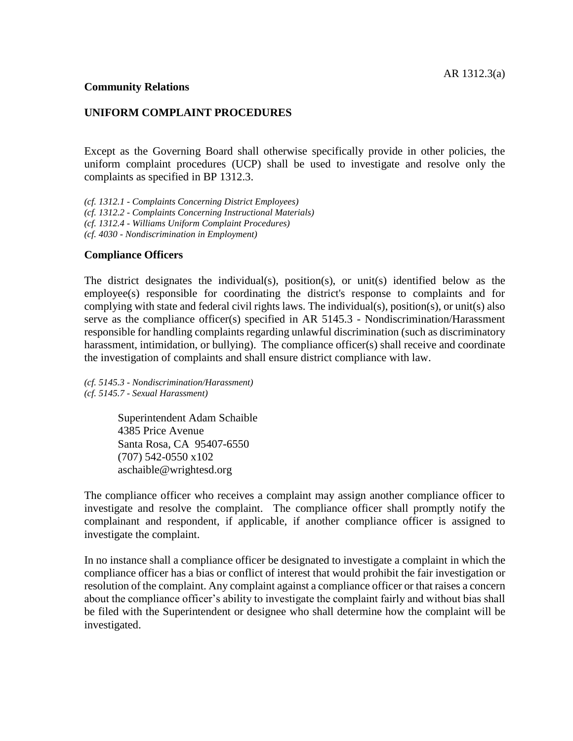#### **Community Relations**

#### **UNIFORM COMPLAINT PROCEDURES**

Except as the Governing Board shall otherwise specifically provide in other policies, the uniform complaint procedures (UCP) shall be used to investigate and resolve only the complaints as specified in BP 1312.3.

*(cf. 1312.1 - Complaints Concerning District Employees) (cf. 1312.2 - Complaints Concerning Instructional Materials) (cf. 1312.4 - Williams Uniform Complaint Procedures) (cf. 4030 - Nondiscrimination in Employment)*

#### **Compliance Officers**

The district designates the individual(s), position(s), or unit(s) identified below as the employee(s) responsible for coordinating the district's response to complaints and for complying with state and federal civil rights laws. The individual(s), position(s), or unit(s) also serve as the compliance officer(s) specified in AR 5145.3 - Nondiscrimination/Harassment responsible for handling complaints regarding unlawful discrimination (such as discriminatory harassment, intimidation, or bullying). The compliance officer(s) shall receive and coordinate the investigation of complaints and shall ensure district compliance with law.

*(cf. 5145.3 - Nondiscrimination/Harassment) (cf. 5145.7 - Sexual Harassment)*

> Superintendent Adam Schaible 4385 Price Avenue Santa Rosa, CA 95407-6550 (707) 542-0550 x102 aschaible@wrightesd.org

The compliance officer who receives a complaint may assign another compliance officer to investigate and resolve the complaint. The compliance officer shall promptly notify the complainant and respondent, if applicable, if another compliance officer is assigned to investigate the complaint.

In no instance shall a compliance officer be designated to investigate a complaint in which the compliance officer has a bias or conflict of interest that would prohibit the fair investigation or resolution of the complaint. Any complaint against a compliance officer or that raises a concern about the compliance officer's ability to investigate the complaint fairly and without bias shall be filed with the Superintendent or designee who shall determine how the complaint will be investigated.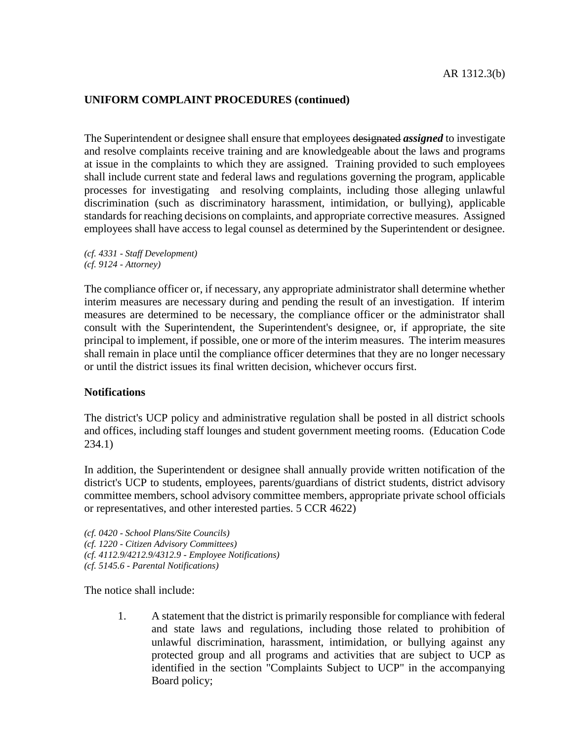The Superintendent or designee shall ensure that employees designated *assigned* to investigate and resolve complaints receive training and are knowledgeable about the laws and programs at issue in the complaints to which they are assigned. Training provided to such employees shall include current state and federal laws and regulations governing the program, applicable processes for investigating and resolving complaints, including those alleging unlawful discrimination (such as discriminatory harassment, intimidation, or bullying), applicable standards for reaching decisions on complaints, and appropriate corrective measures. Assigned employees shall have access to legal counsel as determined by the Superintendent or designee.

*(cf. 4331 - Staff Development) (cf. 9124 - Attorney)*

The compliance officer or, if necessary, any appropriate administrator shall determine whether interim measures are necessary during and pending the result of an investigation. If interim measures are determined to be necessary, the compliance officer or the administrator shall consult with the Superintendent, the Superintendent's designee, or, if appropriate, the site principal to implement, if possible, one or more of the interim measures. The interim measures shall remain in place until the compliance officer determines that they are no longer necessary or until the district issues its final written decision, whichever occurs first.

#### **Notifications**

The district's UCP policy and administrative regulation shall be posted in all district schools and offices, including staff lounges and student government meeting rooms. (Education Code 234.1)

In addition, the Superintendent or designee shall annually provide written notification of the district's UCP to students, employees, parents/guardians of district students, district advisory committee members, school advisory committee members, appropriate private school officials or representatives, and other interested parties. 5 CCR 4622)

*(cf. 0420 - School Plans/Site Councils) (cf. 1220 - Citizen Advisory Committees) (cf. 4112.9/4212.9/4312.9 - Employee Notifications) (cf. 5145.6 - Parental Notifications)*

The notice shall include:

1. A statement that the district is primarily responsible for compliance with federal and state laws and regulations, including those related to prohibition of unlawful discrimination, harassment, intimidation, or bullying against any protected group and all programs and activities that are subject to UCP as identified in the section "Complaints Subject to UCP" in the accompanying Board policy;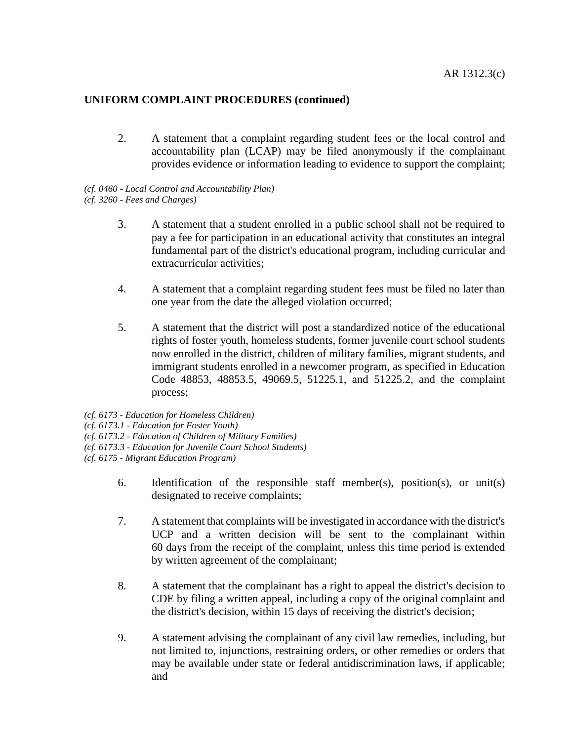2. A statement that a complaint regarding student fees or the local control and accountability plan (LCAP) may be filed anonymously if the complainant provides evidence or information leading to evidence to support the complaint;

*(cf. 0460 - Local Control and Accountability Plan) (cf. 3260 - Fees and Charges)*

- 3. A statement that a student enrolled in a public school shall not be required to pay a fee for participation in an educational activity that constitutes an integral fundamental part of the district's educational program, including curricular and extracurricular activities;
- 4. A statement that a complaint regarding student fees must be filed no later than one year from the date the alleged violation occurred;
- 5. A statement that the district will post a standardized notice of the educational rights of foster youth, homeless students, former juvenile court school students now enrolled in the district, children of military families, migrant students, and immigrant students enrolled in a newcomer program, as specified in Education Code 48853, 48853.5, 49069.5, 51225.1, and 51225.2, and the complaint process;
- *(cf. 6173 - Education for Homeless Children)*

*(cf. 6173.1 - Education for Foster Youth)*

*(cf. 6173.2 - Education of Children of Military Families)*

*(cf. 6173.3 - Education for Juvenile Court School Students)*

*(cf. 6175 - Migrant Education Program)*

- 6. Identification of the responsible staff member(s), position(s), or unit(s) designated to receive complaints;
- 7. A statement that complaints will be investigated in accordance with the district's UCP and a written decision will be sent to the complainant within 60 days from the receipt of the complaint, unless this time period is extended by written agreement of the complainant;
- 8. A statement that the complainant has a right to appeal the district's decision to CDE by filing a written appeal, including a copy of the original complaint and the district's decision, within 15 days of receiving the district's decision;
- 9. A statement advising the complainant of any civil law remedies, including, but not limited to, injunctions, restraining orders, or other remedies or orders that may be available under state or federal antidiscrimination laws, if applicable; and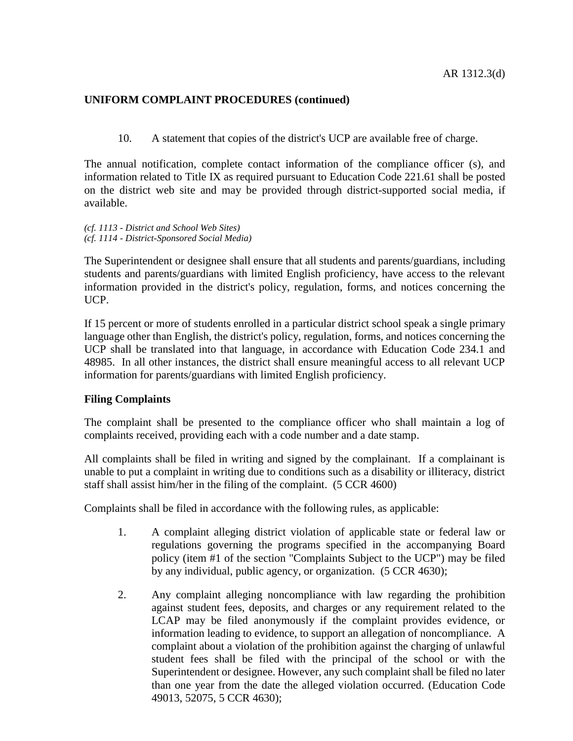10. A statement that copies of the district's UCP are available free of charge.

The annual notification, complete contact information of the compliance officer (s), and information related to Title IX as required pursuant to Education Code 221.61 shall be posted on the district web site and may be provided through district-supported social media, if available.

*(cf. 1113 - District and School Web Sites) (cf. 1114 - District-Sponsored Social Media)*

The Superintendent or designee shall ensure that all students and parents/guardians, including students and parents/guardians with limited English proficiency, have access to the relevant information provided in the district's policy, regulation, forms, and notices concerning the UCP.

If 15 percent or more of students enrolled in a particular district school speak a single primary language other than English, the district's policy, regulation, forms, and notices concerning the UCP shall be translated into that language, in accordance with Education Code 234.1 and 48985. In all other instances, the district shall ensure meaningful access to all relevant UCP information for parents/guardians with limited English proficiency.

## **Filing Complaints**

The complaint shall be presented to the compliance officer who shall maintain a log of complaints received, providing each with a code number and a date stamp.

All complaints shall be filed in writing and signed by the complainant. If a complainant is unable to put a complaint in writing due to conditions such as a disability or illiteracy, district staff shall assist him/her in the filing of the complaint. (5 CCR 4600)

Complaints shall be filed in accordance with the following rules, as applicable:

- 1. A complaint alleging district violation of applicable state or federal law or regulations governing the programs specified in the accompanying Board policy (item #1 of the section "Complaints Subject to the UCP") may be filed by any individual, public agency, or organization. (5 CCR 4630);
- 2. Any complaint alleging noncompliance with law regarding the prohibition against student fees, deposits, and charges or any requirement related to the LCAP may be filed anonymously if the complaint provides evidence, or information leading to evidence, to support an allegation of noncompliance. A complaint about a violation of the prohibition against the charging of unlawful student fees shall be filed with the principal of the school or with the Superintendent or designee. However, any such complaint shall be filed no later than one year from the date the alleged violation occurred. (Education Code 49013, 52075, 5 CCR 4630);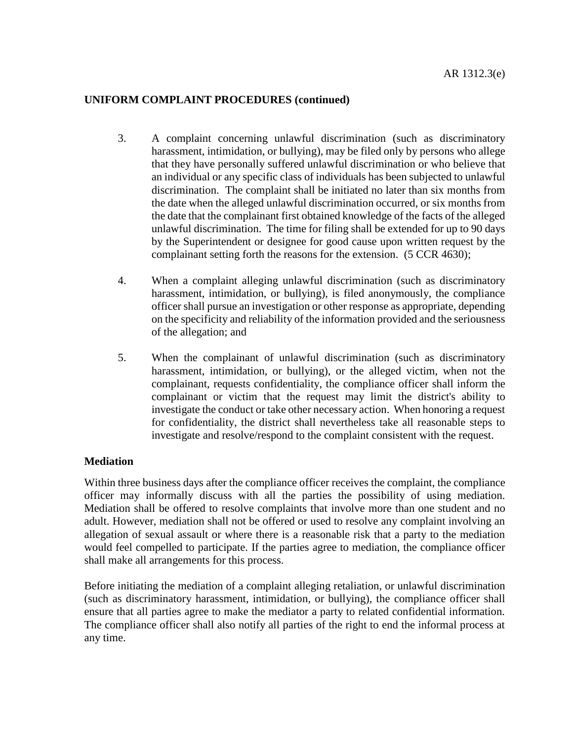- 3. A complaint concerning unlawful discrimination (such as discriminatory harassment, intimidation, or bullying), may be filed only by persons who allege that they have personally suffered unlawful discrimination or who believe that an individual or any specific class of individuals has been subjected to unlawful discrimination. The complaint shall be initiated no later than six months from the date when the alleged unlawful discrimination occurred, or six months from the date that the complainant first obtained knowledge of the facts of the alleged unlawful discrimination. The time for filing shall be extended for up to 90 days by the Superintendent or designee for good cause upon written request by the complainant setting forth the reasons for the extension. (5 CCR 4630);
- 4. When a complaint alleging unlawful discrimination (such as discriminatory harassment, intimidation, or bullying), is filed anonymously, the compliance officer shall pursue an investigation or other response as appropriate, depending on the specificity and reliability of the information provided and the seriousness of the allegation; and
- 5. When the complainant of unlawful discrimination (such as discriminatory harassment, intimidation, or bullying), or the alleged victim, when not the complainant, requests confidentiality, the compliance officer shall inform the complainant or victim that the request may limit the district's ability to investigate the conduct or take other necessary action. When honoring a request for confidentiality, the district shall nevertheless take all reasonable steps to investigate and resolve/respond to the complaint consistent with the request.

## **Mediation**

Within three business days after the compliance officer receives the complaint, the compliance officer may informally discuss with all the parties the possibility of using mediation. Mediation shall be offered to resolve complaints that involve more than one student and no adult. However, mediation shall not be offered or used to resolve any complaint involving an allegation of sexual assault or where there is a reasonable risk that a party to the mediation would feel compelled to participate. If the parties agree to mediation, the compliance officer shall make all arrangements for this process.

Before initiating the mediation of a complaint alleging retaliation, or unlawful discrimination (such as discriminatory harassment, intimidation, or bullying), the compliance officer shall ensure that all parties agree to make the mediator a party to related confidential information. The compliance officer shall also notify all parties of the right to end the informal process at any time.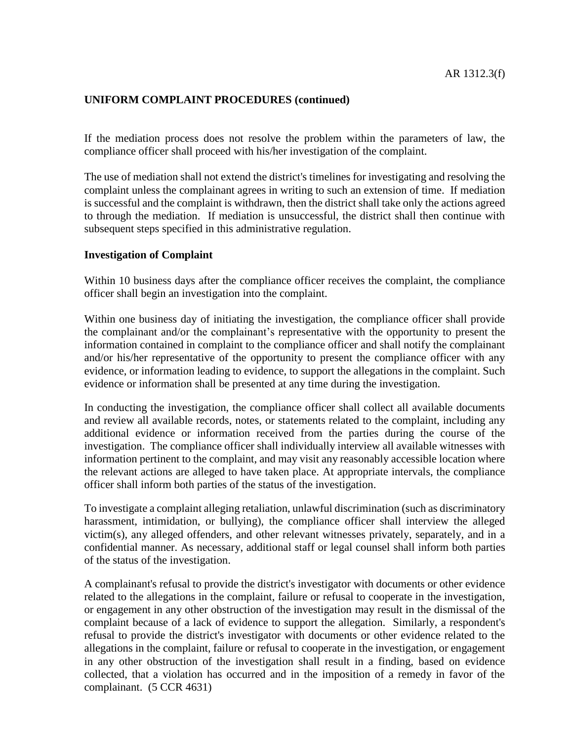If the mediation process does not resolve the problem within the parameters of law, the compliance officer shall proceed with his/her investigation of the complaint.

The use of mediation shall not extend the district's timelines for investigating and resolving the complaint unless the complainant agrees in writing to such an extension of time. If mediation is successful and the complaint is withdrawn, then the district shall take only the actions agreed to through the mediation. If mediation is unsuccessful, the district shall then continue with subsequent steps specified in this administrative regulation.

#### **Investigation of Complaint**

Within 10 business days after the compliance officer receives the complaint, the compliance officer shall begin an investigation into the complaint.

Within one business day of initiating the investigation, the compliance officer shall provide the complainant and/or the complainant's representative with the opportunity to present the information contained in complaint to the compliance officer and shall notify the complainant and/or his/her representative of the opportunity to present the compliance officer with any evidence, or information leading to evidence, to support the allegations in the complaint. Such evidence or information shall be presented at any time during the investigation.

In conducting the investigation, the compliance officer shall collect all available documents and review all available records, notes, or statements related to the complaint, including any additional evidence or information received from the parties during the course of the investigation. The compliance officer shall individually interview all available witnesses with information pertinent to the complaint, and may visit any reasonably accessible location where the relevant actions are alleged to have taken place. At appropriate intervals, the compliance officer shall inform both parties of the status of the investigation.

To investigate a complaint alleging retaliation, unlawful discrimination (such as discriminatory harassment, intimidation, or bullying), the compliance officer shall interview the alleged victim(s), any alleged offenders, and other relevant witnesses privately, separately, and in a confidential manner. As necessary, additional staff or legal counsel shall inform both parties of the status of the investigation.

A complainant's refusal to provide the district's investigator with documents or other evidence related to the allegations in the complaint, failure or refusal to cooperate in the investigation, or engagement in any other obstruction of the investigation may result in the dismissal of the complaint because of a lack of evidence to support the allegation. Similarly, a respondent's refusal to provide the district's investigator with documents or other evidence related to the allegations in the complaint, failure or refusal to cooperate in the investigation, or engagement in any other obstruction of the investigation shall result in a finding, based on evidence collected, that a violation has occurred and in the imposition of a remedy in favor of the complainant. (5 CCR 4631)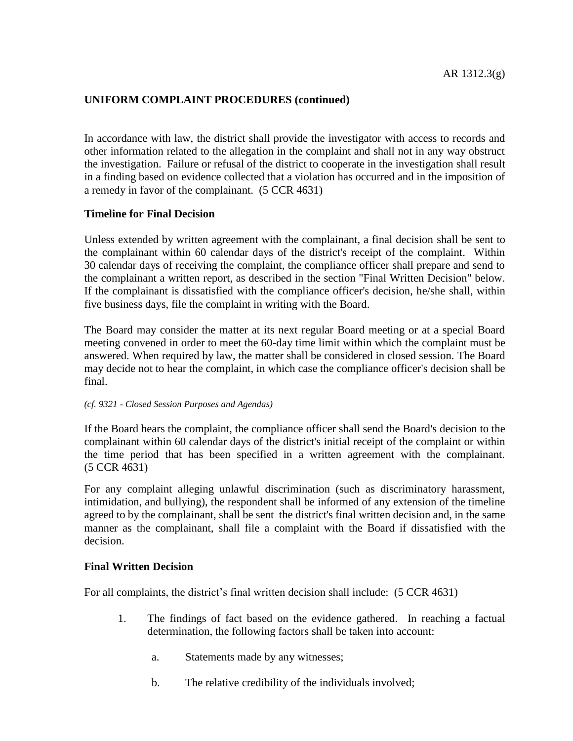In accordance with law, the district shall provide the investigator with access to records and other information related to the allegation in the complaint and shall not in any way obstruct the investigation. Failure or refusal of the district to cooperate in the investigation shall result in a finding based on evidence collected that a violation has occurred and in the imposition of a remedy in favor of the complainant. (5 CCR 4631)

## **Timeline for Final Decision**

Unless extended by written agreement with the complainant, a final decision shall be sent to the complainant within 60 calendar days of the district's receipt of the complaint. Within 30 calendar days of receiving the complaint, the compliance officer shall prepare and send to the complainant a written report, as described in the section "Final Written Decision" below. If the complainant is dissatisfied with the compliance officer's decision, he/she shall, within five business days, file the complaint in writing with the Board.

The Board may consider the matter at its next regular Board meeting or at a special Board meeting convened in order to meet the 60-day time limit within which the complaint must be answered. When required by law, the matter shall be considered in closed session. The Board may decide not to hear the complaint, in which case the compliance officer's decision shall be final.

#### *(cf. 9321 - Closed Session Purposes and Agendas)*

If the Board hears the complaint, the compliance officer shall send the Board's decision to the complainant within 60 calendar days of the district's initial receipt of the complaint or within the time period that has been specified in a written agreement with the complainant. (5 CCR 4631)

For any complaint alleging unlawful discrimination (such as discriminatory harassment, intimidation, and bullying), the respondent shall be informed of any extension of the timeline agreed to by the complainant, shall be sent the district's final written decision and, in the same manner as the complainant, shall file a complaint with the Board if dissatisfied with the decision.

## **Final Written Decision**

For all complaints, the district's final written decision shall include: (5 CCR 4631)

- 1. The findings of fact based on the evidence gathered. In reaching a factual determination, the following factors shall be taken into account:
	- a. Statements made by any witnesses;
	- b. The relative credibility of the individuals involved;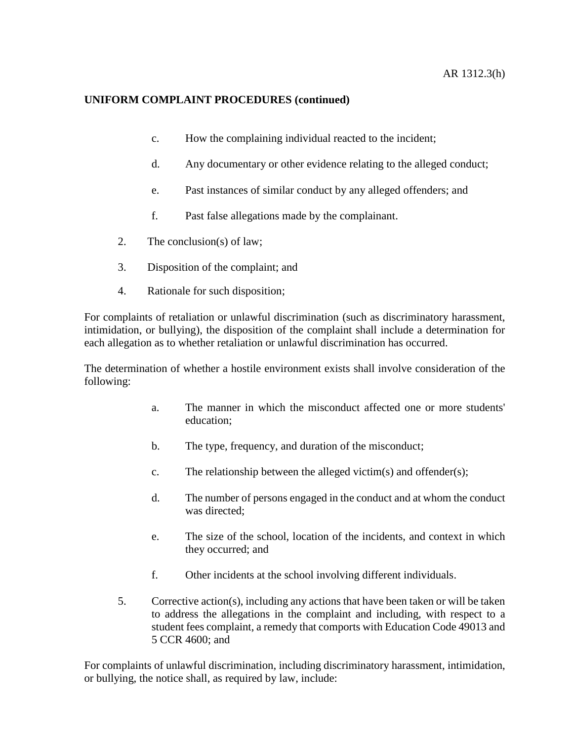- c. How the complaining individual reacted to the incident;
- d. Any documentary or other evidence relating to the alleged conduct;
- e. Past instances of similar conduct by any alleged offenders; and
- f. Past false allegations made by the complainant.
- 2. The conclusion(s) of law;
- 3. Disposition of the complaint; and
- 4. Rationale for such disposition;

For complaints of retaliation or unlawful discrimination (such as discriminatory harassment, intimidation, or bullying), the disposition of the complaint shall include a determination for each allegation as to whether retaliation or unlawful discrimination has occurred.

The determination of whether a hostile environment exists shall involve consideration of the following:

- a. The manner in which the misconduct affected one or more students' education;
- b. The type, frequency, and duration of the misconduct;
- c. The relationship between the alleged victim(s) and offender(s);
- d. The number of persons engaged in the conduct and at whom the conduct was directed;
- e. The size of the school, location of the incidents, and context in which they occurred; and
- f. Other incidents at the school involving different individuals.
- 5. Corrective action(s), including any actions that have been taken or will be taken to address the allegations in the complaint and including, with respect to a student fees complaint, a remedy that comports with Education Code 49013 and 5 CCR 4600; and

For complaints of unlawful discrimination, including discriminatory harassment, intimidation, or bullying, the notice shall, as required by law, include: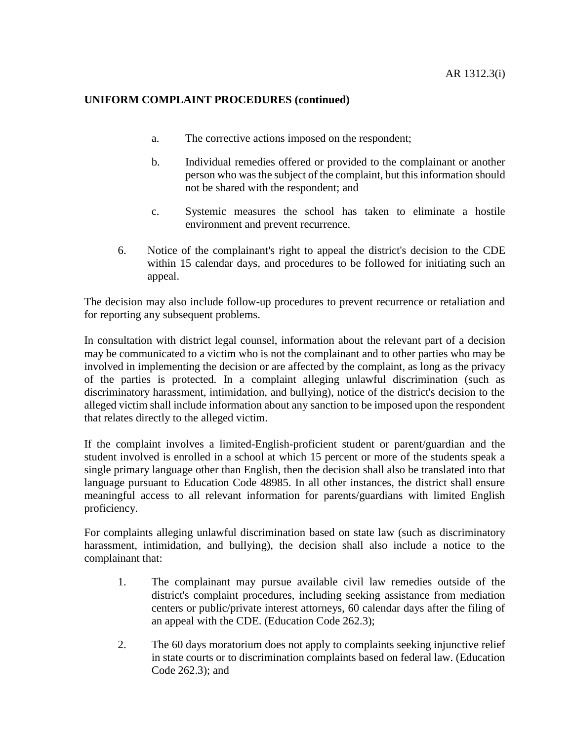- a. The corrective actions imposed on the respondent;
- b. Individual remedies offered or provided to the complainant or another person who was the subject of the complaint, but this information should not be shared with the respondent; and
- c. Systemic measures the school has taken to eliminate a hostile environment and prevent recurrence.
- 6. Notice of the complainant's right to appeal the district's decision to the CDE within 15 calendar days, and procedures to be followed for initiating such an appeal.

The decision may also include follow-up procedures to prevent recurrence or retaliation and for reporting any subsequent problems.

In consultation with district legal counsel, information about the relevant part of a decision may be communicated to a victim who is not the complainant and to other parties who may be involved in implementing the decision or are affected by the complaint, as long as the privacy of the parties is protected. In a complaint alleging unlawful discrimination (such as discriminatory harassment, intimidation, and bullying), notice of the district's decision to the alleged victim shall include information about any sanction to be imposed upon the respondent that relates directly to the alleged victim.

If the complaint involves a limited-English-proficient student or parent/guardian and the student involved is enrolled in a school at which 15 percent or more of the students speak a single primary language other than English, then the decision shall also be translated into that language pursuant to Education Code 48985. In all other instances, the district shall ensure meaningful access to all relevant information for parents/guardians with limited English proficiency.

For complaints alleging unlawful discrimination based on state law (such as discriminatory harassment, intimidation, and bullying), the decision shall also include a notice to the complainant that:

- 1. The complainant may pursue available civil law remedies outside of the district's complaint procedures, including seeking assistance from mediation centers or public/private interest attorneys, 60 calendar days after the filing of an appeal with the CDE. (Education Code 262.3);
- 2. The 60 days moratorium does not apply to complaints seeking injunctive relief in state courts or to discrimination complaints based on federal law. (Education Code 262.3); and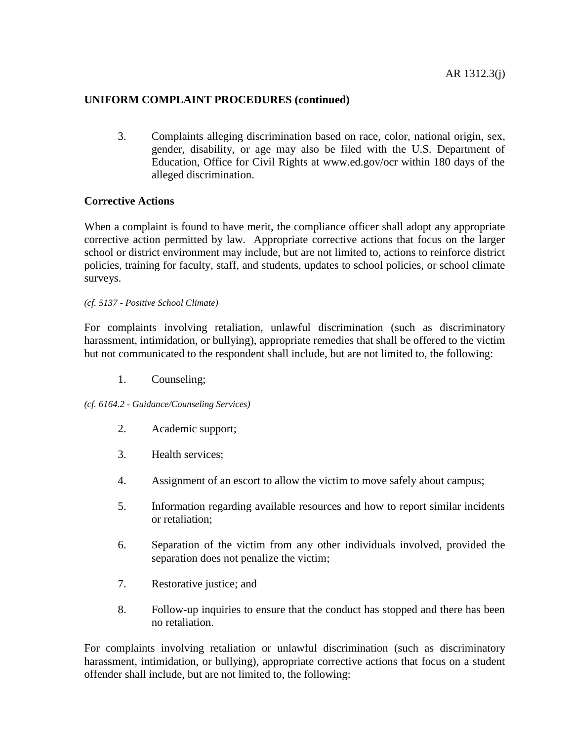3. Complaints alleging discrimination based on race, color, national origin, sex, gender, disability, or age may also be filed with the U.S. Department of Education, Office for Civil Rights at www.ed.gov/ocr within 180 days of the alleged discrimination.

## **Corrective Actions**

When a complaint is found to have merit, the compliance officer shall adopt any appropriate corrective action permitted by law. Appropriate corrective actions that focus on the larger school or district environment may include, but are not limited to, actions to reinforce district policies, training for faculty, staff, and students, updates to school policies, or school climate surveys.

*(cf. 5137 - Positive School Climate)*

For complaints involving retaliation, unlawful discrimination (such as discriminatory harassment, intimidation, or bullying), appropriate remedies that shall be offered to the victim but not communicated to the respondent shall include, but are not limited to, the following:

1. Counseling;

*(cf. 6164.2 - Guidance/Counseling Services)*

- 2. Academic support;
- 3. Health services;
- 4. Assignment of an escort to allow the victim to move safely about campus;
- 5. Information regarding available resources and how to report similar incidents or retaliation;
- 6. Separation of the victim from any other individuals involved, provided the separation does not penalize the victim;
- 7. Restorative justice; and
- 8. Follow-up inquiries to ensure that the conduct has stopped and there has been no retaliation.

For complaints involving retaliation or unlawful discrimination (such as discriminatory harassment, intimidation, or bullying), appropriate corrective actions that focus on a student offender shall include, but are not limited to, the following: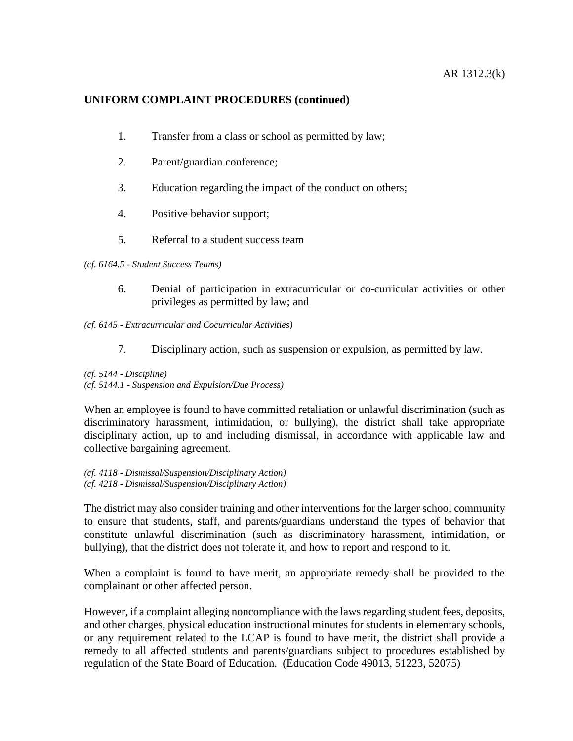- 1. Transfer from a class or school as permitted by law;
- 2. Parent/guardian conference;
- 3. Education regarding the impact of the conduct on others;
- 4. Positive behavior support;
- 5. Referral to a student success team

*(cf. 6164.5 - Student Success Teams)*

6. Denial of participation in extracurricular or co-curricular activities or other privileges as permitted by law; and

*(cf. 6145 - Extracurricular and Cocurricular Activities)*

7. Disciplinary action, such as suspension or expulsion, as permitted by law.

*(cf. 5144 - Discipline) (cf. 5144.1 - Suspension and Expulsion/Due Process)*

When an employee is found to have committed retaliation or unlawful discrimination (such as discriminatory harassment, intimidation, or bullying), the district shall take appropriate disciplinary action, up to and including dismissal, in accordance with applicable law and collective bargaining agreement.

*(cf. 4118 - Dismissal/Suspension/Disciplinary Action) (cf. 4218 - Dismissal/Suspension/Disciplinary Action)*

The district may also consider training and other interventions for the larger school community to ensure that students, staff, and parents/guardians understand the types of behavior that constitute unlawful discrimination (such as discriminatory harassment, intimidation, or bullying), that the district does not tolerate it, and how to report and respond to it.

When a complaint is found to have merit, an appropriate remedy shall be provided to the complainant or other affected person.

However, if a complaint alleging noncompliance with the laws regarding student fees, deposits, and other charges, physical education instructional minutes for students in elementary schools, or any requirement related to the LCAP is found to have merit, the district shall provide a remedy to all affected students and parents/guardians subject to procedures established by regulation of the State Board of Education. (Education Code 49013, 51223, 52075)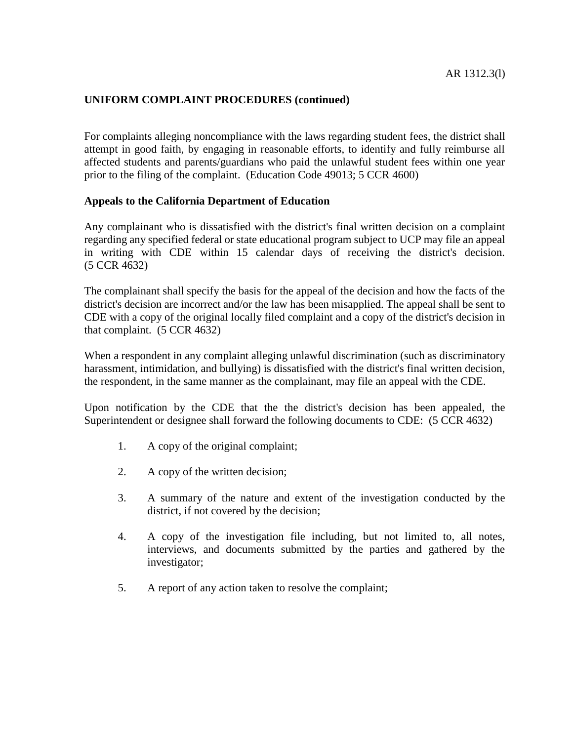For complaints alleging noncompliance with the laws regarding student fees, the district shall attempt in good faith, by engaging in reasonable efforts, to identify and fully reimburse all affected students and parents/guardians who paid the unlawful student fees within one year prior to the filing of the complaint. (Education Code 49013; 5 CCR 4600)

#### **Appeals to the California Department of Education**

Any complainant who is dissatisfied with the district's final written decision on a complaint regarding any specified federal or state educational program subject to UCP may file an appeal in writing with CDE within 15 calendar days of receiving the district's decision. (5 CCR 4632)

The complainant shall specify the basis for the appeal of the decision and how the facts of the district's decision are incorrect and/or the law has been misapplied. The appeal shall be sent to CDE with a copy of the original locally filed complaint and a copy of the district's decision in that complaint. (5 CCR 4632)

When a respondent in any complaint alleging unlawful discrimination (such as discriminatory harassment, intimidation, and bullying) is dissatisfied with the district's final written decision, the respondent, in the same manner as the complainant, may file an appeal with the CDE.

Upon notification by the CDE that the the district's decision has been appealed, the Superintendent or designee shall forward the following documents to CDE: (5 CCR 4632)

- 1. A copy of the original complaint;
- 2. A copy of the written decision;
- 3. A summary of the nature and extent of the investigation conducted by the district, if not covered by the decision;
- 4. A copy of the investigation file including, but not limited to, all notes, interviews, and documents submitted by the parties and gathered by the investigator;
- 5. A report of any action taken to resolve the complaint;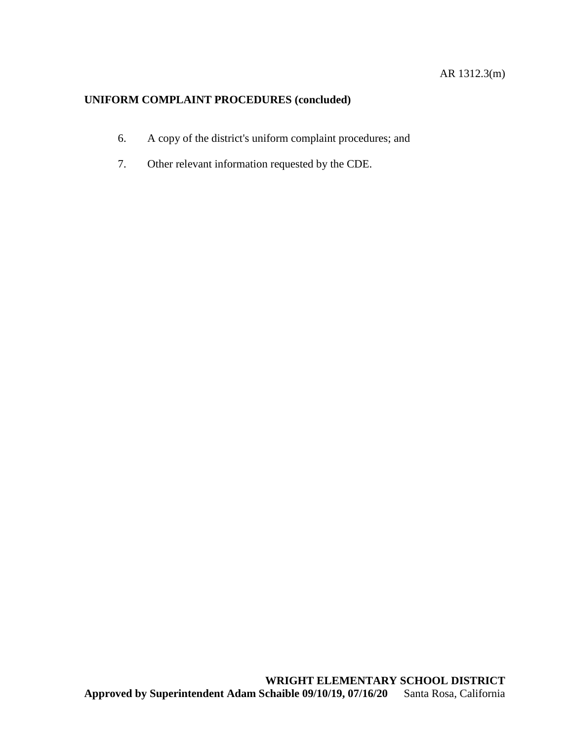- 6. A copy of the district's uniform complaint procedures; and
- 7. Other relevant information requested by the CDE.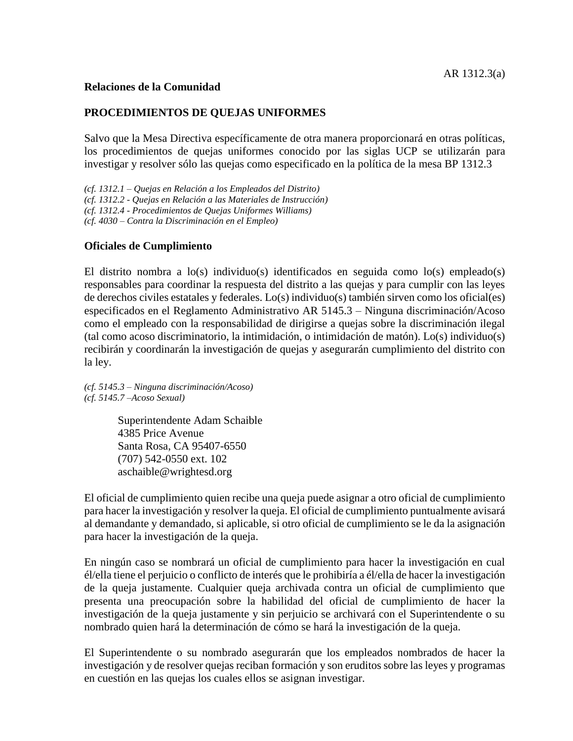### **Relaciones de la Comunidad**

## **PROCEDIMIENTOS DE QUEJAS UNIFORMES**

Salvo que la Mesa Directiva específicamente de otra manera proporcionará en otras políticas, los procedimientos de quejas uniformes conocido por las siglas UCP se utilizarán para investigar y resolver sólo las quejas como especificado en la política de la mesa BP 1312.3

*(cf. 1312.1 – Quejas en Relación a los Empleados del Distrito) (cf. 1312.2 - Quejas en Relación a las Materiales de Instrucción) (cf. 1312.4 - Procedimientos de Quejas Uniformes Williams)*

*(cf. 4030 – Contra la Discriminación en el Empleo)*

#### **Oficiales de Cumplimiento**

El distrito nombra a lo(s) individuo(s) identificados en seguida como lo(s) empleado(s) responsables para coordinar la respuesta del distrito a las quejas y para cumplir con las leyes de derechos civiles estatales y federales. Lo(s) individuo(s) también sirven como los oficial(es) especificados en el Reglamento Administrativo AR 5145.3 – Ninguna discriminación/Acoso como el empleado con la responsabilidad de dirigirse a quejas sobre la discriminación ilegal (tal como acoso discriminatorio, la intimidación, o intimidación de matón). Lo(s) individuo(s) recibirán y coordinarán la investigación de quejas y asegurarán cumplimiento del distrito con la ley.

*(cf. 5145.3 – Ninguna discriminación/Acoso) (cf. 5145.7 –Acoso Sexual)*

> Superintendente Adam Schaible 4385 Price Avenue Santa Rosa, CA 95407-6550 (707) 542-0550 ext. 102 aschaible@wrightesd.org

El oficial de cumplimiento quien recibe una queja puede asignar a otro oficial de cumplimiento para hacer la investigación y resolver la queja. El oficial de cumplimiento puntualmente avisará al demandante y demandado, si aplicable, si otro oficial de cumplimiento se le da la asignación para hacer la investigación de la queja.

En ningún caso se nombrará un oficial de cumplimiento para hacer la investigación en cual él/ella tiene el perjuicio o conflicto de interés que le prohibiría a él/ella de hacer la investigación de la queja justamente. Cualquier queja archivada contra un oficial de cumplimiento que presenta una preocupación sobre la habilidad del oficial de cumplimiento de hacer la investigación de la queja justamente y sin perjuicio se archivará con el Superintendente o su nombrado quien hará la determinación de cómo se hará la investigación de la queja.

El Superintendente o su nombrado asegurarán que los empleados nombrados de hacer la investigación y de resolver quejas reciban formación y son eruditos sobre las leyes y programas en cuestión en las quejas los cuales ellos se asignan investigar.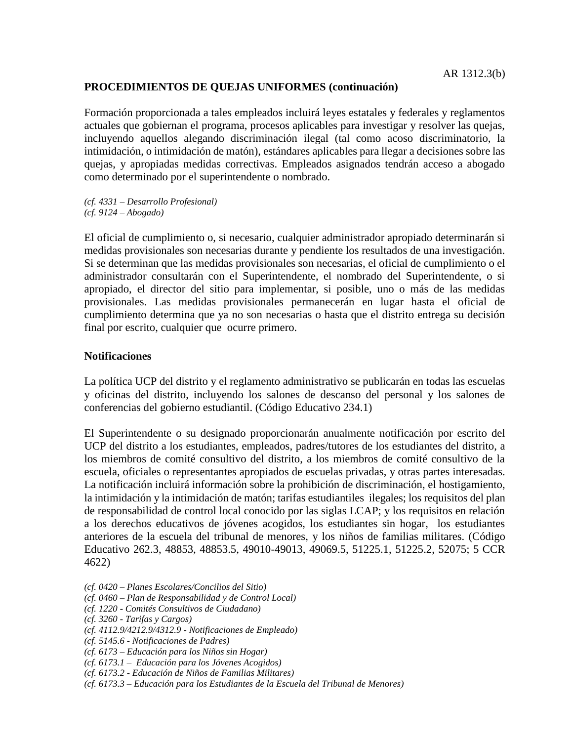Formación proporcionada a tales empleados incluirá leyes estatales y federales y reglamentos actuales que gobiernan el programa, procesos aplicables para investigar y resolver las quejas, incluyendo aquellos alegando discriminación ilegal (tal como acoso discriminatorio, la intimidación, o intimidación de matón), estándares aplicables para llegar a decisiones sobre las quejas, y apropiadas medidas correctivas. Empleados asignados tendrán acceso a abogado como determinado por el superintendente o nombrado.

*(cf. 4331 – Desarrollo Profesional) (cf. 9124 – Abogado)*

El oficial de cumplimiento o, si necesario, cualquier administrador apropiado determinarán si medidas provisionales son necesarias durante y pendiente los resultados de una investigación. Si se determinan que las medidas provisionales son necesarias, el oficial de cumplimiento o el administrador consultarán con el Superintendente, el nombrado del Superintendente, o si apropiado, el director del sitio para implementar, si posible, uno o más de las medidas provisionales. Las medidas provisionales permanecerán en lugar hasta el oficial de cumplimiento determina que ya no son necesarias o hasta que el distrito entrega su decisión final por escrito, cualquier que ocurre primero.

## **Notificaciones**

La política UCP del distrito y el reglamento administrativo se publicarán en todas las escuelas y oficinas del distrito, incluyendo los salones de descanso del personal y los salones de conferencias del gobierno estudiantil. (Código Educativo 234.1)

El Superintendente o su designado proporcionarán anualmente notificación por escrito del UCP del distrito a los estudiantes, empleados, padres/tutores de los estudiantes del distrito, a los miembros de comité consultivo del distrito, a los miembros de comité consultivo de la escuela, oficiales o representantes apropiados de escuelas privadas, y otras partes interesadas. La notificación incluirá información sobre la prohibición de discriminación, el hostigamiento, la intimidación y la intimidación de matón; tarifas estudiantiles ilegales; los requisitos del plan de responsabilidad de control local conocido por las siglas LCAP; y los requisitos en relación a los derechos educativos de jóvenes acogidos, los estudiantes sin hogar, los estudiantes anteriores de la escuela del tribunal de menores, y los niños de familias militares. (Código Educativo 262.3, 48853, 48853.5, 49010-49013, 49069.5, 51225.1, 51225.2, 52075; 5 CCR 4622)

- *(cf. 0420 – Planes Escolares/Concilios del Sitio)*
- *(cf. 0460 – Plan de Responsabilidad y de Control Local)*
- *(cf. 1220 - Comités Consultivos de Ciudadano)*
- *(cf. 3260 - Tarifas y Cargos)*
- *(cf. 4112.9/4212.9/4312.9 - Notificaciones de Empleado)*
- *(cf. 5145.6 - Notificaciones de Padres)*
- *(cf. 6173 – Educación para los Niños sin Hogar)*
- *(cf. 6173.1 Educación para los Jóvenes Acogidos)*
- *(cf. 6173.2 - Educación de Niños de Familias Militares)*
- *(cf. 6173.3 – Educación para los Estudiantes de la Escuela del Tribunal de Menores)*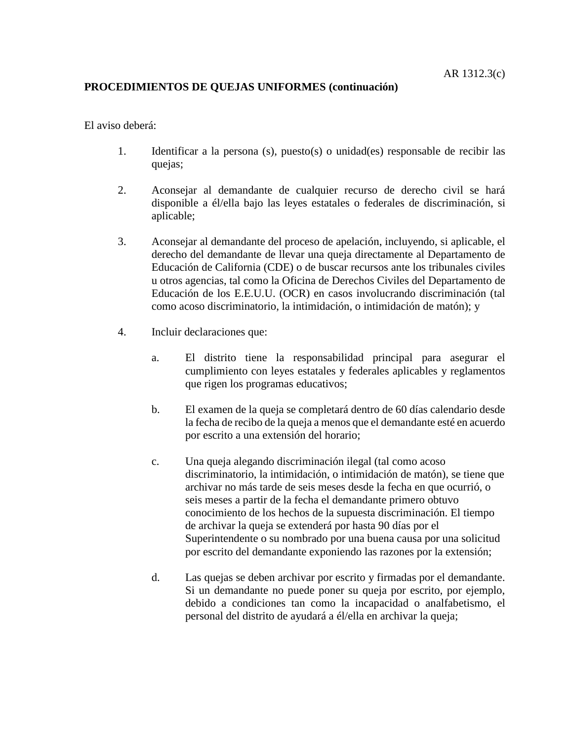El aviso deberá:

- 1. Identificar a la persona (s), puesto(s) o unidad(es) responsable de recibir las quejas;
- 2. Aconsejar al demandante de cualquier recurso de derecho civil se hará disponible a él/ella bajo las leyes estatales o federales de discriminación, si aplicable;
- 3. Aconsejar al demandante del proceso de apelación, incluyendo, si aplicable, el derecho del demandante de llevar una queja directamente al Departamento de Educación de California (CDE) o de buscar recursos ante los tribunales civiles u otros agencias, tal como la Oficina de Derechos Civiles del Departamento de Educación de los E.E.U.U. (OCR) en casos involucrando discriminación (tal como acoso discriminatorio, la intimidación, o intimidación de matón); y
- 4. Incluir declaraciones que:
	- a. El distrito tiene la responsabilidad principal para asegurar el cumplimiento con leyes estatales y federales aplicables y reglamentos que rigen los programas educativos;
	- b. El examen de la queja se completará dentro de 60 días calendario desde la fecha de recibo de la queja a menos que el demandante esté en acuerdo por escrito a una extensión del horario;
	- c. Una queja alegando discriminación ilegal (tal como acoso discriminatorio, la intimidación, o intimidación de matón), se tiene que archivar no más tarde de seis meses desde la fecha en que ocurrió, o seis meses a partir de la fecha el demandante primero obtuvo conocimiento de los hechos de la supuesta discriminación. El tiempo de archivar la queja se extenderá por hasta 90 días por el Superintendente o su nombrado por una buena causa por una solicitud por escrito del demandante exponiendo las razones por la extensión;
	- d. Las quejas se deben archivar por escrito y firmadas por el demandante. Si un demandante no puede poner su queja por escrito, por ejemplo, debido a condiciones tan como la incapacidad o analfabetismo, el personal del distrito de ayudará a él/ella en archivar la queja;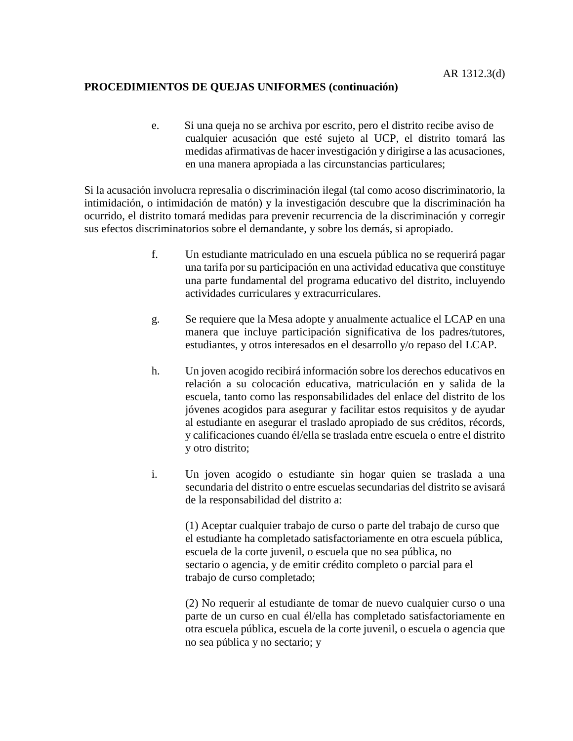e. Si una queja no se archiva por escrito, pero el distrito recibe aviso de cualquier acusación que esté sujeto al UCP, el distrito tomará las medidas afirmativas de hacer investigación y dirigirse a las acusaciones, en una manera apropiada a las circunstancias particulares;

Si la acusación involucra represalia o discriminación ilegal (tal como acoso discriminatorio, la intimidación, o intimidación de matón) y la investigación descubre que la discriminación ha ocurrido, el distrito tomará medidas para prevenir recurrencia de la discriminación y corregir sus efectos discriminatorios sobre el demandante, y sobre los demás, si apropiado.

- f. Un estudiante matriculado en una escuela pública no se requerirá pagar una tarifa por su participación en una actividad educativa que constituye una parte fundamental del programa educativo del distrito, incluyendo actividades curriculares y extracurriculares.
- g. Se requiere que la Mesa adopte y anualmente actualice el LCAP en una manera que incluye participación significativa de los padres/tutores, estudiantes, y otros interesados en el desarrollo y/o repaso del LCAP.
- h. Un joven acogido recibirá información sobre los derechos educativos en relación a su colocación educativa, matriculación en y salida de la escuela, tanto como las responsabilidades del enlace del distrito de los jóvenes acogidos para asegurar y facilitar estos requisitos y de ayudar al estudiante en asegurar el traslado apropiado de sus créditos, récords, y calificaciones cuando él/ella se traslada entre escuela o entre el distrito y otro distrito;
- i. Un joven acogido o estudiante sin hogar quien se traslada a una secundaria del distrito o entre escuelas secundarias del distrito se avisará de la responsabilidad del distrito a:

(1) Aceptar cualquier trabajo de curso o parte del trabajo de curso que el estudiante ha completado satisfactoriamente en otra escuela pública, escuela de la corte juvenil, o escuela que no sea pública, no sectario o agencia, y de emitir crédito completo o parcial para el trabajo de curso completado;

(2) No requerir al estudiante de tomar de nuevo cualquier curso o una parte de un curso en cual él/ella has completado satisfactoriamente en otra escuela pública, escuela de la corte juvenil, o escuela o agencia que no sea pública y no sectario; y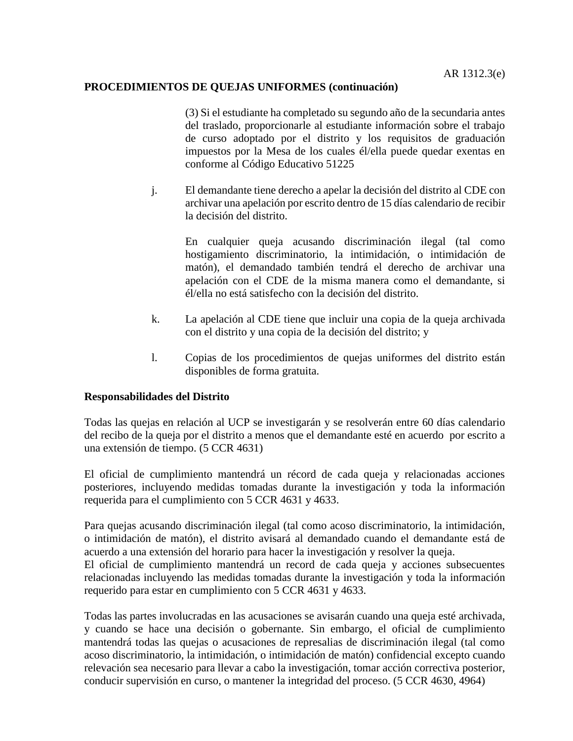(3) Si el estudiante ha completado su segundo año de la secundaria antes del traslado, proporcionarle al estudiante información sobre el trabajo de curso adoptado por el distrito y los requisitos de graduación impuestos por la Mesa de los cuales él/ella puede quedar exentas en conforme al Código Educativo 51225

j. El demandante tiene derecho a apelar la decisión del distrito al CDE con archivar una apelación por escrito dentro de 15 días calendario de recibir la decisión del distrito.

En cualquier queja acusando discriminación ilegal (tal como hostigamiento discriminatorio, la intimidación, o intimidación de matón), el demandado también tendrá el derecho de archivar una apelación con el CDE de la misma manera como el demandante, si él/ella no está satisfecho con la decisión del distrito.

- k. La apelación al CDE tiene que incluir una copia de la queja archivada con el distrito y una copia de la decisión del distrito; y
- l. Copias de los procedimientos de quejas uniformes del distrito están disponibles de forma gratuita.

#### **Responsabilidades del Distrito**

Todas las quejas en relación al UCP se investigarán y se resolverán entre 60 días calendario del recibo de la queja por el distrito a menos que el demandante esté en acuerdo por escrito a una extensión de tiempo. (5 CCR 4631)

El oficial de cumplimiento mantendrá un récord de cada queja y relacionadas acciones posteriores, incluyendo medidas tomadas durante la investigación y toda la información requerida para el cumplimiento con 5 CCR 4631 y 4633.

Para quejas acusando discriminación ilegal (tal como acoso discriminatorio, la intimidación, o intimidación de matón), el distrito avisará al demandado cuando el demandante está de acuerdo a una extensión del horario para hacer la investigación y resolver la queja.

El oficial de cumplimiento mantendrá un record de cada queja y acciones subsecuentes relacionadas incluyendo las medidas tomadas durante la investigación y toda la información requerido para estar en cumplimiento con 5 CCR 4631 y 4633.

Todas las partes involucradas en las acusaciones se avisarán cuando una queja esté archivada, y cuando se hace una decisión o gobernante. Sin embargo, el oficial de cumplimiento mantendrá todas las quejas o acusaciones de represalias de discriminación ilegal (tal como acoso discriminatorio, la intimidación, o intimidación de matón) confidencial excepto cuando relevación sea necesario para llevar a cabo la investigación, tomar acción correctiva posterior, conducir supervisión en curso, o mantener la integridad del proceso. (5 CCR 4630, 4964)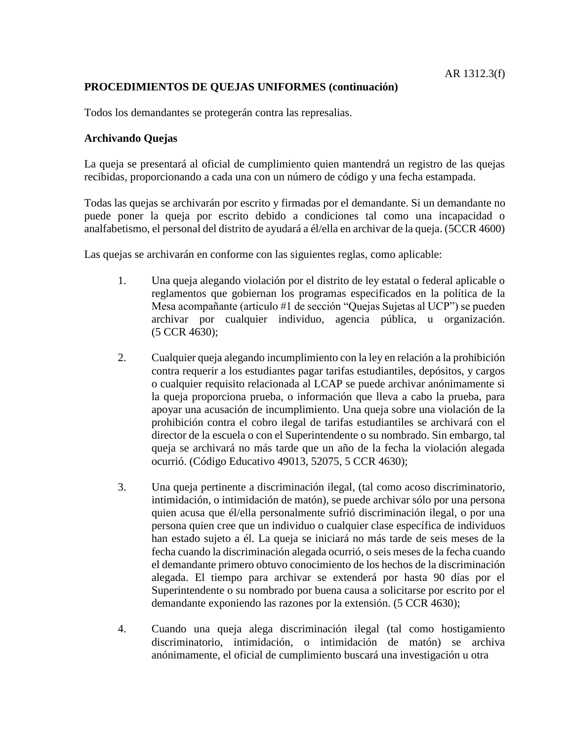Todos los demandantes se protegerán contra las represalias.

### **Archivando Quejas**

La queja se presentará al oficial de cumplimiento quien mantendrá un registro de las quejas recibidas, proporcionando a cada una con un número de código y una fecha estampada.

Todas las quejas se archivarán por escrito y firmadas por el demandante. Si un demandante no puede poner la queja por escrito debido a condiciones tal como una incapacidad o analfabetismo, el personal del distrito de ayudará a él/ella en archivar de la queja. (5CCR 4600)

Las quejas se archivarán en conforme con las siguientes reglas, como aplicable:

- 1. Una queja alegando violación por el distrito de ley estatal o federal aplicable o reglamentos que gobiernan los programas especificados en la política de la Mesa acompañante (articulo #1 de sección "Quejas Sujetas al UCP") se pueden archivar por cualquier individuo, agencia pública, u organización. (5 CCR 4630);
- 2. Cualquier queja alegando incumplimiento con la ley en relación a la prohibición contra requerir a los estudiantes pagar tarifas estudiantiles, depósitos, y cargos o cualquier requisito relacionada al LCAP se puede archivar anónimamente si la queja proporciona prueba, o información que lleva a cabo la prueba, para apoyar una acusación de incumplimiento. Una queja sobre una violación de la prohibición contra el cobro ilegal de tarifas estudiantiles se archivará con el director de la escuela o con el Superintendente o su nombrado. Sin embargo, tal queja se archivará no más tarde que un año de la fecha la violación alegada ocurrió. (Código Educativo 49013, 52075, 5 CCR 4630);
- 3. Una queja pertinente a discriminación ilegal, (tal como acoso discriminatorio, intimidación, o intimidación de matón), se puede archivar sólo por una persona quien acusa que él/ella personalmente sufrió discriminación ilegal, o por una persona quien cree que un individuo o cualquier clase específica de individuos han estado sujeto a él. La queja se iniciará no más tarde de seis meses de la fecha cuando la discriminación alegada ocurrió, o seis meses de la fecha cuando el demandante primero obtuvo conocimiento de los hechos de la discriminación alegada. El tiempo para archivar se extenderá por hasta 90 días por el Superintendente o su nombrado por buena causa a solicitarse por escrito por el demandante exponiendo las razones por la extensión. (5 CCR 4630);
- 4. Cuando una queja alega discriminación ilegal (tal como hostigamiento discriminatorio, intimidación, o intimidación de matón) se archiva anónimamente, el oficial de cumplimiento buscará una investigación u otra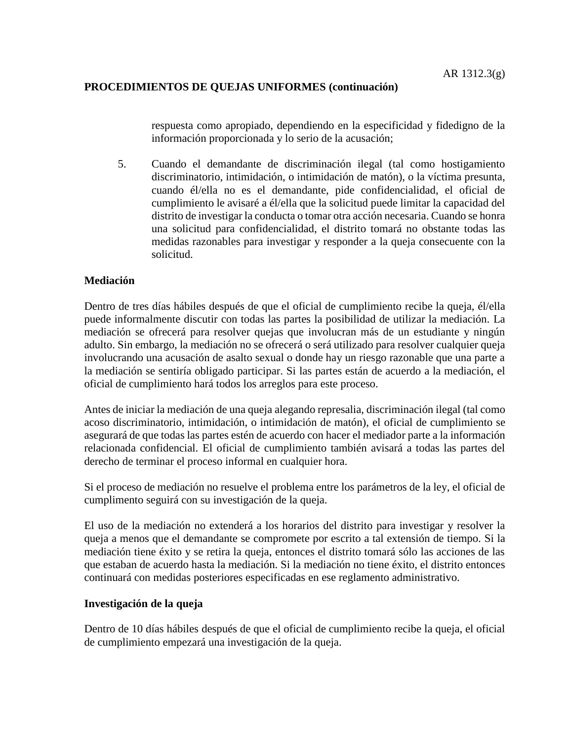respuesta como apropiado, dependiendo en la especificidad y fidedigno de la información proporcionada y lo serio de la acusación;

5. Cuando el demandante de discriminación ilegal (tal como hostigamiento discriminatorio, intimidación, o intimidación de matón), o la víctima presunta, cuando él/ella no es el demandante, pide confidencialidad, el oficial de cumplimiento le avisaré a él/ella que la solicitud puede limitar la capacidad del distrito de investigar la conducta o tomar otra acción necesaria. Cuando se honra una solicitud para confidencialidad, el distrito tomará no obstante todas las medidas razonables para investigar y responder a la queja consecuente con la solicitud.

#### **Mediación**

Dentro de tres días hábiles después de que el oficial de cumplimiento recibe la queja, él/ella puede informalmente discutir con todas las partes la posibilidad de utilizar la mediación. La mediación se ofrecerá para resolver quejas que involucran más de un estudiante y ningún adulto. Sin embargo, la mediación no se ofrecerá o será utilizado para resolver cualquier queja involucrando una acusación de asalto sexual o donde hay un riesgo razonable que una parte a la mediación se sentiría obligado participar. Si las partes están de acuerdo a la mediación, el oficial de cumplimiento hará todos los arreglos para este proceso.

Antes de iniciar la mediación de una queja alegando represalia, discriminación ilegal (tal como acoso discriminatorio, intimidación, o intimidación de matón), el oficial de cumplimiento se asegurará de que todas las partes estén de acuerdo con hacer el mediador parte a la información relacionada confidencial. El oficial de cumplimiento también avisará a todas las partes del derecho de terminar el proceso informal en cualquier hora.

Si el proceso de mediación no resuelve el problema entre los parámetros de la ley, el oficial de cumplimento seguirá con su investigación de la queja.

El uso de la mediación no extenderá a los horarios del distrito para investigar y resolver la queja a menos que el demandante se compromete por escrito a tal extensión de tiempo. Si la mediación tiene éxito y se retira la queja, entonces el distrito tomará sólo las acciones de las que estaban de acuerdo hasta la mediación. Si la mediación no tiene éxito, el distrito entonces continuará con medidas posteriores especificadas en ese reglamento administrativo.

#### **Investigación de la queja**

Dentro de 10 días hábiles después de que el oficial de cumplimiento recibe la queja, el oficial de cumplimiento empezará una investigación de la queja.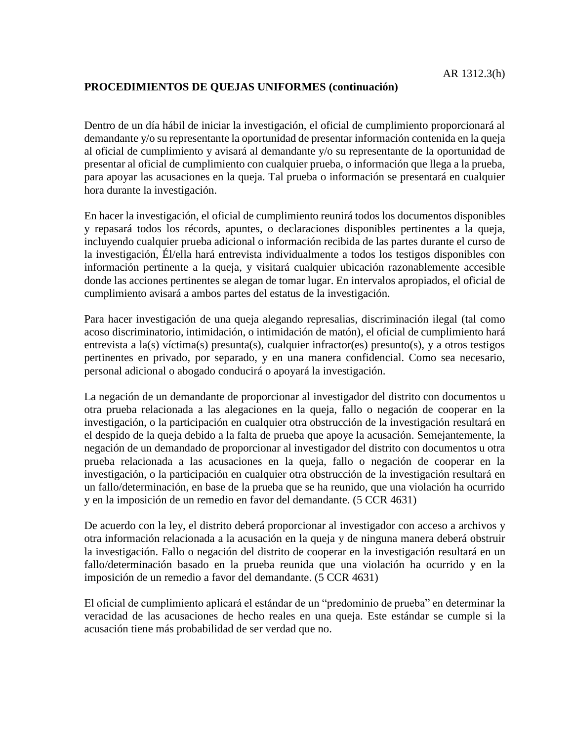Dentro de un día hábil de iniciar la investigación, el oficial de cumplimiento proporcionará al demandante y/o su representante la oportunidad de presentar información contenida en la queja al oficial de cumplimiento y avisará al demandante y/o su representante de la oportunidad de presentar al oficial de cumplimiento con cualquier prueba, o información que llega a la prueba, para apoyar las acusaciones en la queja. Tal prueba o información se presentará en cualquier hora durante la investigación.

En hacer la investigación, el oficial de cumplimiento reunirá todos los documentos disponibles y repasará todos los récords, apuntes, o declaraciones disponibles pertinentes a la queja, incluyendo cualquier prueba adicional o información recibida de las partes durante el curso de la investigación, Él/ella hará entrevista individualmente a todos los testigos disponibles con información pertinente a la queja, y visitará cualquier ubicación razonablemente accesible donde las acciones pertinentes se alegan de tomar lugar. En intervalos apropiados, el oficial de cumplimiento avisará a ambos partes del estatus de la investigación.

Para hacer investigación de una queja alegando represalias, discriminación ilegal (tal como acoso discriminatorio, intimidación, o intimidación de matón), el oficial de cumplimiento hará entrevista a la(s) víctima(s) presunta(s), cualquier infractor(es) presunto(s), y a otros testigos pertinentes en privado, por separado, y en una manera confidencial. Como sea necesario, personal adicional o abogado conducirá o apoyará la investigación.

La negación de un demandante de proporcionar al investigador del distrito con documentos u otra prueba relacionada a las alegaciones en la queja, fallo o negación de cooperar en la investigación, o la participación en cualquier otra obstrucción de la investigación resultará en el despido de la queja debido a la falta de prueba que apoye la acusación. Semejantemente, la negación de un demandado de proporcionar al investigador del distrito con documentos u otra prueba relacionada a las acusaciones en la queja, fallo o negación de cooperar en la investigación, o la participación en cualquier otra obstrucción de la investigación resultará en un fallo/determinación, en base de la prueba que se ha reunido, que una violación ha ocurrido y en la imposición de un remedio en favor del demandante. (5 CCR 4631)

De acuerdo con la ley, el distrito deberá proporcionar al investigador con acceso a archivos y otra información relacionada a la acusación en la queja y de ninguna manera deberá obstruir la investigación. Fallo o negación del distrito de cooperar en la investigación resultará en un fallo/determinación basado en la prueba reunida que una violación ha ocurrido y en la imposición de un remedio a favor del demandante. (5 CCR 4631)

El oficial de cumplimiento aplicará el estándar de un "predominio de prueba" en determinar la veracidad de las acusaciones de hecho reales en una queja. Este estándar se cumple si la acusación tiene más probabilidad de ser verdad que no.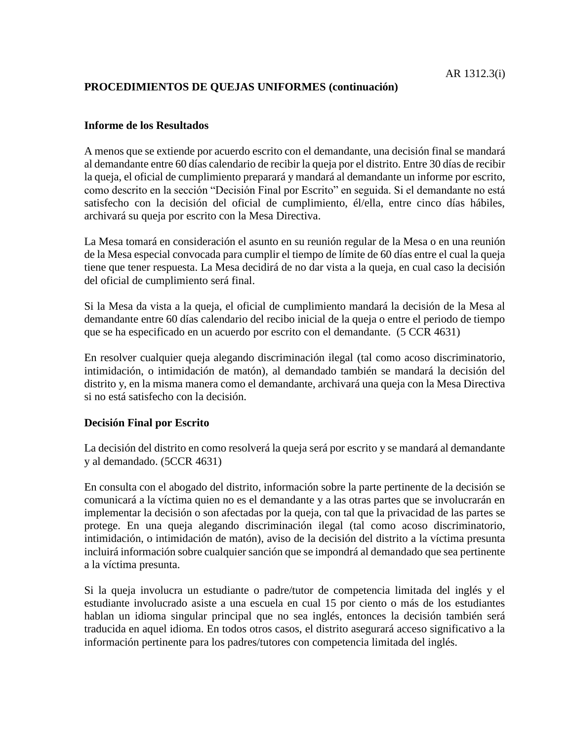### **Informe de los Resultados**

A menos que se extiende por acuerdo escrito con el demandante, una decisión final se mandará al demandante entre 60 días calendario de recibir la queja por el distrito. Entre 30 días de recibir la queja, el oficial de cumplimiento preparará y mandará al demandante un informe por escrito, como descrito en la sección "Decisión Final por Escrito" en seguida. Si el demandante no está satisfecho con la decisión del oficial de cumplimiento, él/ella, entre cinco días hábiles, archivará su queja por escrito con la Mesa Directiva.

La Mesa tomará en consideración el asunto en su reunión regular de la Mesa o en una reunión de la Mesa especial convocada para cumplir el tiempo de límite de 60 días entre el cual la queja tiene que tener respuesta. La Mesa decidirá de no dar vista a la queja, en cual caso la decisión del oficial de cumplimiento será final.

Si la Mesa da vista a la queja, el oficial de cumplimiento mandará la decisión de la Mesa al demandante entre 60 días calendario del recibo inicial de la queja o entre el periodo de tiempo que se ha especificado en un acuerdo por escrito con el demandante. (5 CCR 4631)

En resolver cualquier queja alegando discriminación ilegal (tal como acoso discriminatorio, intimidación, o intimidación de matón), al demandado también se mandará la decisión del distrito y, en la misma manera como el demandante, archivará una queja con la Mesa Directiva si no está satisfecho con la decisión.

## **Decisión Final por Escrito**

La decisión del distrito en como resolverá la queja será por escrito y se mandará al demandante y al demandado. (5CCR 4631)

En consulta con el abogado del distrito, información sobre la parte pertinente de la decisión se comunicará a la víctima quien no es el demandante y a las otras partes que se involucrarán en implementar la decisión o son afectadas por la queja, con tal que la privacidad de las partes se protege. En una queja alegando discriminación ilegal (tal como acoso discriminatorio, intimidación, o intimidación de matón), aviso de la decisión del distrito a la víctima presunta incluirá información sobre cualquier sanción que se impondrá al demandado que sea pertinente a la víctima presunta.

Si la queja involucra un estudiante o padre/tutor de competencia limitada del inglés y el estudiante involucrado asiste a una escuela en cual 15 por ciento o más de los estudiantes hablan un idioma singular principal que no sea inglés, entonces la decisión también será traducida en aquel idioma. En todos otros casos, el distrito asegurará acceso significativo a la información pertinente para los padres/tutores con competencia limitada del inglés.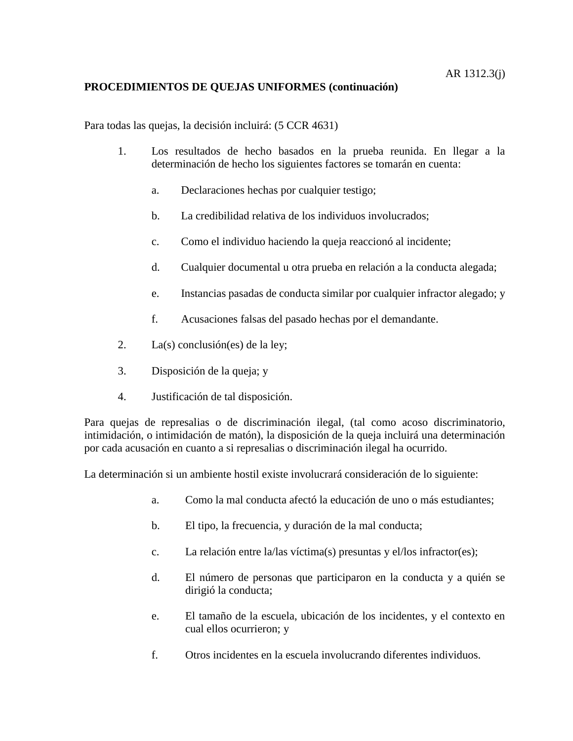Para todas las quejas, la decisión incluirá: (5 CCR 4631)

- 1. Los resultados de hecho basados en la prueba reunida. En llegar a la determinación de hecho los siguientes factores se tomarán en cuenta:
	- a. Declaraciones hechas por cualquier testigo;
	- b. La credibilidad relativa de los individuos involucrados;
	- c. Como el individuo haciendo la queja reaccionó al incidente;
	- d. Cualquier documental u otra prueba en relación a la conducta alegada;
	- e. Instancias pasadas de conducta similar por cualquier infractor alegado; y
	- f. Acusaciones falsas del pasado hechas por el demandante.
- 2. La(s) conclusión(es) de la ley;
- 3. Disposición de la queja; y
- 4. Justificación de tal disposición.

Para quejas de represalias o de discriminación ilegal, (tal como acoso discriminatorio, intimidación, o intimidación de matón), la disposición de la queja incluirá una determinación por cada acusación en cuanto a si represalias o discriminación ilegal ha ocurrido.

La determinación si un ambiente hostil existe involucrará consideración de lo siguiente:

- a. Como la mal conducta afectó la educación de uno o más estudiantes;
- b. El tipo, la frecuencia, y duración de la mal conducta;
- c. La relación entre la/las víctima(s) presuntas y el/los infractor(es);
- d. El número de personas que participaron en la conducta y a quién se dirigió la conducta;
- e. El tamaño de la escuela, ubicación de los incidentes, y el contexto en cual ellos ocurrieron; y
- f. Otros incidentes en la escuela involucrando diferentes individuos.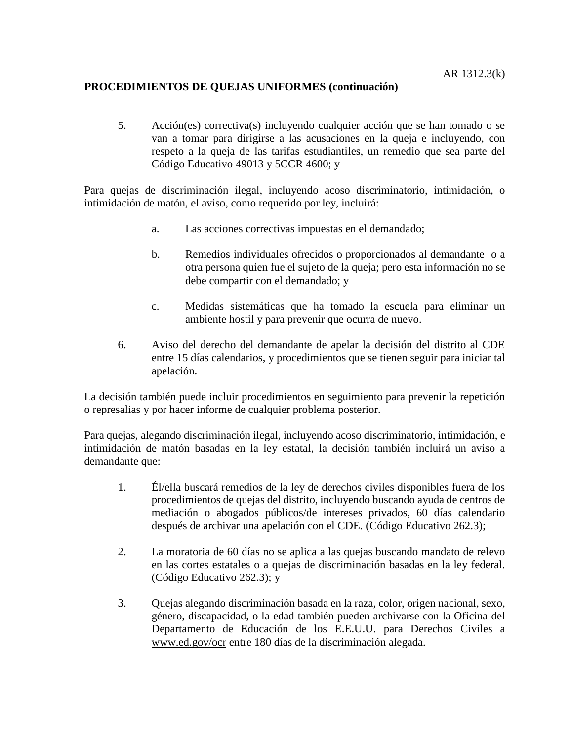5. Acción(es) correctiva(s) incluyendo cualquier acción que se han tomado o se van a tomar para dirigirse a las acusaciones en la queja e incluyendo, con respeto a la queja de las tarifas estudiantiles, un remedio que sea parte del Código Educativo 49013 y 5CCR 4600; y

Para quejas de discriminación ilegal, incluyendo acoso discriminatorio, intimidación, o intimidación de matón, el aviso, como requerido por ley, incluirá:

- a. Las acciones correctivas impuestas en el demandado;
- b. Remedios individuales ofrecidos o proporcionados al demandante o a otra persona quien fue el sujeto de la queja; pero esta información no se debe compartir con el demandado; y
- c. Medidas sistemáticas que ha tomado la escuela para eliminar un ambiente hostil y para prevenir que ocurra de nuevo.
- 6. Aviso del derecho del demandante de apelar la decisión del distrito al CDE entre 15 días calendarios, y procedimientos que se tienen seguir para iniciar tal apelación.

La decisión también puede incluir procedimientos en seguimiento para prevenir la repetición o represalias y por hacer informe de cualquier problema posterior.

Para quejas, alegando discriminación ilegal, incluyendo acoso discriminatorio, intimidación, e intimidación de matón basadas en la ley estatal, la decisión también incluirá un aviso a demandante que:

- 1. Él/ella buscará remedios de la ley de derechos civiles disponibles fuera de los procedimientos de quejas del distrito, incluyendo buscando ayuda de centros de mediación o abogados públicos/de intereses privados, 60 días calendario después de archivar una apelación con el CDE. (Código Educativo 262.3);
- 2. La moratoria de 60 días no se aplica a las quejas buscando mandato de relevo en las cortes estatales o a quejas de discriminación basadas en la ley federal. (Código Educativo 262.3); y
- 3. Quejas alegando discriminación basada en la raza, color, origen nacional, sexo, género, discapacidad, o la edad también pueden archivarse con la Oficina del Departamento de Educación de los E.E.U.U. para Derechos Civiles a [www.ed.gov/ocr](http://www.ed.gov/ocr) entre 180 días de la discriminación alegada.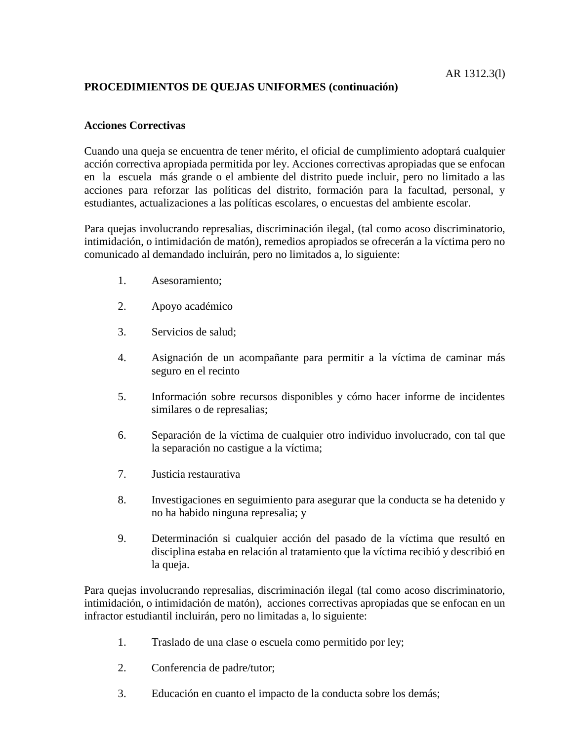### **Acciones Correctivas**

Cuando una queja se encuentra de tener mérito, el oficial de cumplimiento adoptará cualquier acción correctiva apropiada permitida por ley. Acciones correctivas apropiadas que se enfocan en la escuela más grande o el ambiente del distrito puede incluir, pero no limitado a las acciones para reforzar las políticas del distrito, formación para la facultad, personal, y estudiantes, actualizaciones a las políticas escolares, o encuestas del ambiente escolar.

Para quejas involucrando represalias, discriminación ilegal, (tal como acoso discriminatorio, intimidación, o intimidación de matón), remedios apropiados se ofrecerán a la víctima pero no comunicado al demandado incluirán, pero no limitados a, lo siguiente:

- 1. Asesoramiento;
- 2. Apoyo académico
- 3. Servicios de salud;
- 4. Asignación de un acompañante para permitir a la víctima de caminar más seguro en el recinto
- 5. Información sobre recursos disponibles y cómo hacer informe de incidentes similares o de represalias;
- 6. Separación de la víctima de cualquier otro individuo involucrado, con tal que la separación no castigue a la víctima;
- 7. Justicia restaurativa
- 8. Investigaciones en seguimiento para asegurar que la conducta se ha detenido y no ha habido ninguna represalia; y
- 9. Determinación si cualquier acción del pasado de la víctima que resultó en disciplina estaba en relación al tratamiento que la víctima recibió y describió en la queja.

Para quejas involucrando represalias, discriminación ilegal (tal como acoso discriminatorio, intimidación, o intimidación de matón), acciones correctivas apropiadas que se enfocan en un infractor estudiantil incluirán, pero no limitadas a, lo siguiente:

- 1. Traslado de una clase o escuela como permitido por ley;
- 2. Conferencia de padre/tutor;
- 3. Educación en cuanto el impacto de la conducta sobre los demás;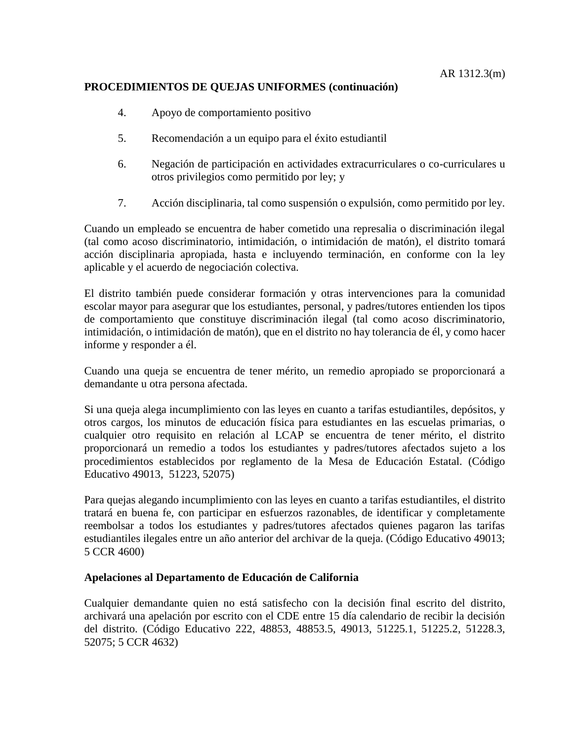- 4. Apoyo de comportamiento positivo
- 5. Recomendación a un equipo para el éxito estudiantil
- 6. Negación de participación en actividades extracurriculares o co-curriculares u otros privilegios como permitido por ley; y
- 7. Acción disciplinaria, tal como suspensión o expulsión, como permitido por ley.

Cuando un empleado se encuentra de haber cometido una represalia o discriminación ilegal (tal como acoso discriminatorio, intimidación, o intimidación de matón), el distrito tomará acción disciplinaria apropiada, hasta e incluyendo terminación, en conforme con la ley aplicable y el acuerdo de negociación colectiva.

El distrito también puede considerar formación y otras intervenciones para la comunidad escolar mayor para asegurar que los estudiantes, personal, y padres/tutores entienden los tipos de comportamiento que constituye discriminación ilegal (tal como acoso discriminatorio, intimidación, o intimidación de matón), que en el distrito no hay tolerancia de él, y como hacer informe y responder a él.

Cuando una queja se encuentra de tener mérito, un remedio apropiado se proporcionará a demandante u otra persona afectada.

Si una queja alega incumplimiento con las leyes en cuanto a tarifas estudiantiles, depósitos, y otros cargos, los minutos de educación física para estudiantes en las escuelas primarias, o cualquier otro requisito en relación al LCAP se encuentra de tener mérito, el distrito proporcionará un remedio a todos los estudiantes y padres/tutores afectados sujeto a los procedimientos establecidos por reglamento de la Mesa de Educación Estatal. (Código Educativo 49013, 51223, 52075)

Para quejas alegando incumplimiento con las leyes en cuanto a tarifas estudiantiles, el distrito tratará en buena fe, con participar en esfuerzos razonables, de identificar y completamente reembolsar a todos los estudiantes y padres/tutores afectados quienes pagaron las tarifas estudiantiles ilegales entre un año anterior del archivar de la queja. (Código Educativo 49013; 5 CCR 4600)

#### **Apelaciones al Departamento de Educación de California**

Cualquier demandante quien no está satisfecho con la decisión final escrito del distrito, archivará una apelación por escrito con el CDE entre 15 día calendario de recibir la decisión del distrito. (Código Educativo 222, 48853, 48853.5, 49013, 51225.1, 51225.2, 51228.3, 52075; 5 CCR 4632)